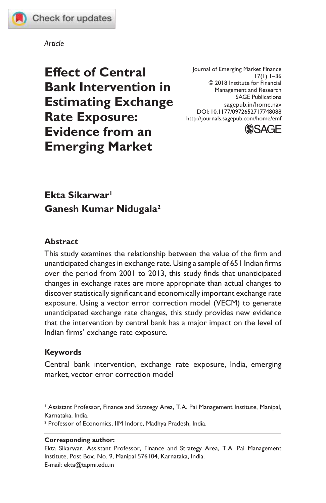

#### *Article*

**Effect of Central Bank Intervention in Estimating Exchange Rate Exposure: Evidence from an Emerging Market**

Journal of Emerging Market Finance 17(1) 1–36 © 2018 Institute for Financial Management and Research SAGE Publications sagepub.in/home.nav DOI: 10.1177/0972652717748088 http://journals.sagepub.com/home/emf



# **Ekta Sikarwar<sup>1</sup> Ganesh Kumar Nidugala<sup>2</sup>**

#### **Abstract**

This study examines the relationship between the value of the firm and unanticipated changes in exchange rate. Using a sample of 651 Indian firms over the period from 2001 to 2013, this study finds that unanticipated changes in exchange rates are more appropriate than actual changes to discover statistically significant and economically important exchange rate exposure. Using a vector error correction model (VECM) to generate unanticipated exchange rate changes, this study provides new evidence that the intervention by central bank has a major impact on the level of Indian firms' exchange rate exposure.

#### **Keywords**

Central bank intervention, exchange rate exposure, India, emerging market, vector error correction model

#### **Corresponding author:**

<sup>&</sup>lt;sup>1</sup> Assistant Professor, Finance and Strategy Area, T.A. Pai Management Institute, Manipal, Karnataka, India.

<sup>2</sup> Professor of Economics, IIM Indore, Madhya Pradesh, India.

Ekta Sikarwar, Assistant Professor, Finance and Strategy Area, T.A. Pai Management Institute, Post Box. No. 9, Manipal 576104, Karnataka, India. E-mail: ekta@tapmi.edu.in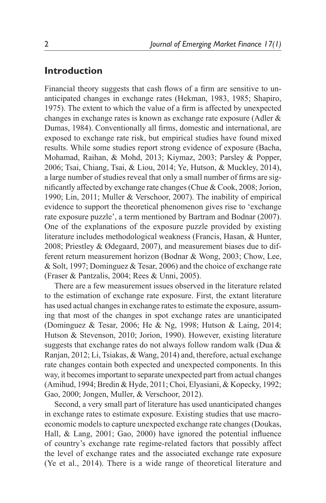# **Introduction**

Financial theory suggests that cash flows of a firm are sensitive to unanticipated changes in exchange rates (Hekman, 1983, 1985; Shapiro, 1975). The extent to which the value of a firm is affected by unexpected changes in exchange rates is known as exchange rate exposure (Adler & Dumas, 1984). Conventionally all firms, domestic and international, are exposed to exchange rate risk, but empirical studies have found mixed results. While some studies report strong evidence of exposure (Bacha, Mohamad, Raihan, & Mohd, 2013; Kiymaz, 2003; Parsley & Popper, 2006; Tsai, Chiang, Tsai, & Liou, 2014; Ye, Hutson, & Muckley, 2014), a large number of studies reveal that only a small number of firms are significantly affected by exchange rate changes (Chue & Cook, 2008; Jorion, 1990; Lin, 2011; Muller & Verschoor, 2007). The inability of empirical evidence to support the theoretical phenomenon gives rise to 'exchange rate exposure puzzle', a term mentioned by Bartram and Bodnar (2007). One of the explanations of the exposure puzzle provided by existing literature includes methodological weakness (Francis, Hasan, & Hunter, 2008; Priestley & Ødegaard, 2007), and measurement biases due to different return measurement horizon (Bodnar & Wong, 2003; Chow, Lee, & Solt, 1997; Dominguez & Tesar, 2006) and the choice of exchange rate (Fraser & Pantzalis, 2004; Rees & Unni, 2005).

There are a few measurement issues observed in the literature related to the estimation of exchange rate exposure. First, the extant literature has used actual changes in exchange rates to estimate the exposure, assuming that most of the changes in spot exchange rates are unanticipated (Dominguez & Tesar, 2006; He & Ng, 1998; Hutson & Laing, 2014; Hutson & Stevenson, 2010; Jorion, 1990). However, existing literature suggests that exchange rates do not always follow random walk (Dua  $\&$ Ranjan, 2012; Li, Tsiakas, & Wang, 2014) and, therefore, actual exchange rate changes contain both expected and unexpected components. In this way, it becomes important to separate unexpected part from actual changes (Amihud, 1994; Bredin & Hyde, 2011; Choi, Elyasiani, & Kopecky, 1992; Gao, 2000; Jongen, Muller, & Verschoor, 2012).

Second, a very small part of literature has used unanticipated changes in exchange rates to estimate exposure. Existing studies that use macroeconomic models to capture unexpected exchange rate changes (Doukas, Hall, & Lang, 2001; Gao, 2000) have ignored the potential influence of country's exchange rate regime-related factors that possibly affect the level of exchange rates and the associated exchange rate exposure (Ye et al., 2014). There is a wide range of theoretical literature and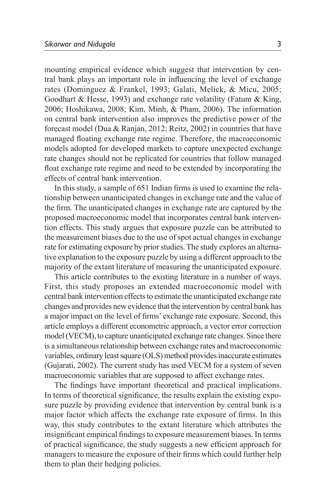mounting empirical evidence which suggest that intervention by central bank plays an important role in influencing the level of exchange rates (Dominguez & Frankel, 1993; Galati, Melick, & Micu, 2005; Goodhart & Hesse, 1993) and exchange rate volatility (Fatum & King, 2006; Hoshikawa, 2008; Kim, Minh, & Pham, 2006). The information on central bank intervention also improves the predictive power of the forecast model (Dua & Ranjan, 2012; Reitz, 2002) in countries that have managed floating exchange rate regime. Therefore, the macroeconomic models adopted for developed markets to capture unexpected exchange rate changes should not be replicated for countries that follow managed float exchange rate regime and need to be extended by incorporating the effects of central bank intervention.

In this study, a sample of 651 Indian firms is used to examine the relationship between unanticipated changes in exchange rate and the value of the firm. The unanticipated changes in exchange rate are captured by the proposed macroeconomic model that incorporates central bank intervention effects. This study argues that exposure puzzle can be attributed to the measurement biases due to the use of spot actual changes in exchange rate for estimating exposure by prior studies. The study explores an alternative explanation to the exposure puzzle by using a different approach to the majority of the extant literature of measuring the unanticipated exposure.

This article contributes to the existing literature in a number of ways. First, this study proposes an extended macroeconomic model with central bank intervention effects to estimate the unanticipated exchange rate changes and provides new evidence that the intervention by central bank has a major impact on the level of firms' exchange rate exposure. Second, this article employs a different econometric approach, a vector error correction model (VECM), to capture unanticipated exchange rate changes. Since there is a simultaneous relationship between exchange rates and macroeconomic variables, ordinary least square (OLS) method provides inaccurate estimates (Gujarati, 2002). The current study has used VECM for a system of seven macroeconomic variables that are supposed to affect exchange rates.

The findings have important theoretical and practical implications. In terms of theoretical significance, the results explain the existing exposure puzzle by providing evidence that intervention by central bank is a major factor which affects the exchange rate exposure of firms. In this way, this study contributes to the extant literature which attributes the insignificant empirical findings to exposure measurement biases. In terms of practical significance, the study suggests a new efficient approach for managers to measure the exposure of their firms which could further help them to plan their hedging policies.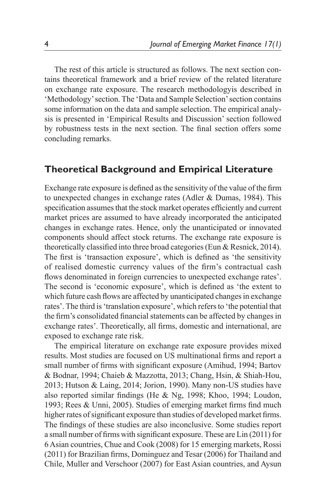The rest of this article is structured as follows. The next section contains theoretical framework and a brief review of the related literature on exchange rate exposure. The research methodologyis described in 'Methodology' section. The 'Data and Sample Selection' section contains some information on the data and sample selection. The empirical analysis is presented in 'Empirical Results and Discussion' section followed by robustness tests in the next section. The final section offers some concluding remarks.

## **Theoretical Background and Empirical Literature**

Exchange rate exposure is defined as the sensitivity of the value of the firm to unexpected changes in exchange rates (Adler & Dumas, 1984). This specification assumes that the stock market operates efficiently and current market prices are assumed to have already incorporated the anticipated changes in exchange rates. Hence, only the unanticipated or innovated components should affect stock returns. The exchange rate exposure is theoretically classified into three broad categories (Eun & Resnick, 2014). The first is 'transaction exposure', which is defined as 'the sensitivity of realised domestic currency values of the firm's contractual cash flows denominated in foreign currencies to unexpected exchange rates'. The second is 'economic exposure', which is defined as 'the extent to which future cash flows are affected by unanticipated changes in exchange rates'. The third is 'translation exposure', which refers to 'the potential that the firm's consolidated financial statements can be affected by changes in exchange rates'. Theoretically, all firms, domestic and international, are exposed to exchange rate risk.

The empirical literature on exchange rate exposure provides mixed results. Most studies are focused on US multinational firms and report a small number of firms with significant exposure (Amihud, 1994; Bartov & Bodnar, 1994; Chaieb & Mazzotta, 2013; Chang, Hsin, & Shiah-Hou, 2013; Hutson & Laing, 2014; Jorion, 1990). Many non-US studies have also reported similar findings (He & Ng, 1998; Khoo, 1994; Loudon, 1993; Rees & Unni, 2005). Studies of emerging market firms find much higher rates of significant exposure than studies of developed market firms. The findings of these studies are also inconclusive. Some studies report a small number of firms with significant exposure. These are Lin (2011) for 6 Asian countries, Chue and Cook (2008) for 15 emerging markets, Rossi (2011) for Brazilian firms, Dominguez and Tesar (2006) for Thailand and Chile, Muller and Verschoor (2007) for East Asian countries, and Aysun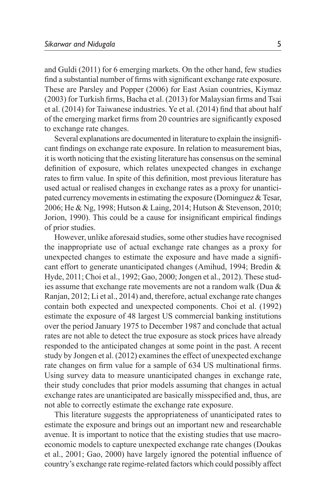and Guldi (2011) for 6 emerging markets. On the other hand, few studies find a substantial number of firms with significant exchange rate exposure. These are Parsley and Popper (2006) for East Asian countries, Kiymaz (2003) for Turkish firms, Bacha et al. (2013) for Malaysian firms and Tsai et al. (2014) for Taiwanese industries. Ye et al. (2014) find that about half of the emerging market firms from 20 countries are significantly exposed to exchange rate changes.

Several explanations are documented in literature to explain the insignificant findings on exchange rate exposure. In relation to measurement bias, it is worth noticing that the existing literature has consensus on the seminal definition of exposure, which relates unexpected changes in exchange rates to firm value. In spite of this definition, most previous literature has used actual or realised changes in exchange rates as a proxy for unanticipated currency movements in estimating the exposure (Dominguez & Tesar, 2006; He & Ng, 1998; Hutson & Laing, 2014; Hutson & Stevenson, 2010; Jorion, 1990). This could be a cause for insignificant empirical findings of prior studies.

However, unlike aforesaid studies, some other studies have recognised the inappropriate use of actual exchange rate changes as a proxy for unexpected changes to estimate the exposure and have made a significant effort to generate unanticipated changes (Amihud, 1994; Bredin & Hyde, 2011; Choi et al., 1992; Gao, 2000; Jongen et al., 2012). These studies assume that exchange rate movements are not a random walk (Dua & Ranjan, 2012; Li et al., 2014) and, therefore, actual exchange rate changes contain both expected and unexpected components. Choi et al. (1992) estimate the exposure of 48 largest US commercial banking institutions over the period January 1975 to December 1987 and conclude that actual rates are not able to detect the true exposure as stock prices have already responded to the anticipated changes at some point in the past. A recent study by Jongen et al. (2012) examines the effect of unexpected exchange rate changes on firm value for a sample of 634 US multinational firms. Using survey data to measure unanticipated changes in exchange rate, their study concludes that prior models assuming that changes in actual exchange rates are unanticipated are basically misspecified and, thus, are not able to correctly estimate the exchange rate exposure.

This literature suggests the appropriateness of unanticipated rates to estimate the exposure and brings out an important new and researchable avenue. It is important to notice that the existing studies that use macroeconomic models to capture unexpected exchange rate changes (Doukas et al., 2001; Gao, 2000) have largely ignored the potential influence of country's exchange rate regime-related factors which could possibly affect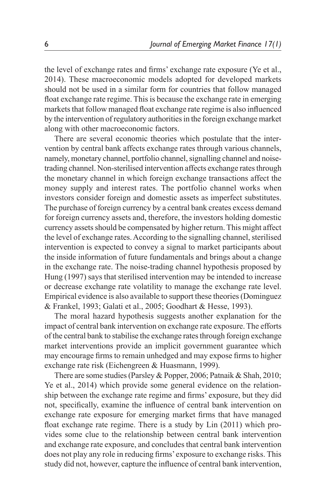the level of exchange rates and firms' exchange rate exposure (Ye et al., 2014). These macroeconomic models adopted for developed markets should not be used in a similar form for countries that follow managed float exchange rate regime. This is because the exchange rate in emerging markets that follow managed float exchange rate regime is also influenced by the intervention of regulatory authorities in the foreign exchange market along with other macroeconomic factors.

There are several economic theories which postulate that the intervention by central bank affects exchange rates through various channels, namely, monetary channel, portfolio channel, signalling channel and noisetrading channel. Non-sterilised intervention affects exchange rates through the monetary channel in which foreign exchange transactions affect the money supply and interest rates. The portfolio channel works when investors consider foreign and domestic assets as imperfect substitutes. The purchase of foreign currency by a central bank creates excess demand for foreign currency assets and, therefore, the investors holding domestic currency assets should be compensated by higher return. This might affect the level of exchange rates. According to the signalling channel, sterilised intervention is expected to convey a signal to market participants about the inside information of future fundamentals and brings about a change in the exchange rate. The noise-trading channel hypothesis proposed by Hung (1997) says that sterilised intervention may be intended to increase or decrease exchange rate volatility to manage the exchange rate level. Empirical evidence is also available to support these theories (Dominguez & Frankel, 1993; Galati et al., 2005; Goodhart & Hesse, 1993).

The moral hazard hypothesis suggests another explanation for the impact of central bank intervention on exchange rate exposure. The efforts of the central bank to stabilise the exchange rates through foreign exchange market interventions provide an implicit government guarantee which may encourage firms to remain unhedged and may expose firms to higher exchange rate risk (Eichengreen & Huasmann, 1999).

There are some studies (Parsley & Popper, 2006; Patnaik & Shah, 2010; Ye et al., 2014) which provide some general evidence on the relationship between the exchange rate regime and firms' exposure, but they did not, specifically, examine the influence of central bank intervention on exchange rate exposure for emerging market firms that have managed float exchange rate regime. There is a study by Lin (2011) which provides some clue to the relationship between central bank intervention and exchange rate exposure, and concludes that central bank intervention does not play any role in reducing firms' exposure to exchange risks. This study did not, however, capture the influence of central bank intervention,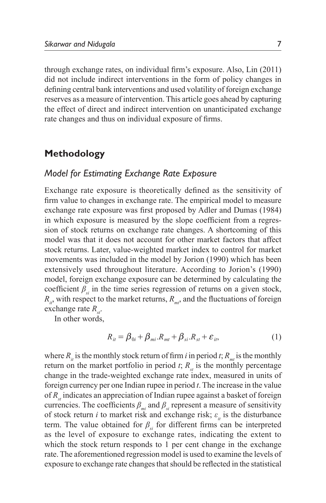through exchange rates, on individual firm's exposure. Also, Lin (2011) did not include indirect interventions in the form of policy changes in defining central bank interventions and used volatility of foreign exchange reserves as a measure of intervention. This article goes ahead by capturing the effect of direct and indirect intervention on unanticipated exchange rate changes and thus on individual exposure of firms.

# **Methodology**

## *Model for Estimating Exchange Rate Exposure*

Exchange rate exposure is theoretically defined as the sensitivity of firm value to changes in exchange rate. The empirical model to measure exchange rate exposure was first proposed by Adler and Dumas (1984) in which exposure is measured by the slope coefficient from a regression of stock returns on exchange rate changes. A shortcoming of this model was that it does not account for other market factors that affect stock returns. Later, value-weighted market index to control for market movements was included in the model by Jorion (1990) which has been extensively used throughout literature. According to Jorion's (1990) model, foreign exchange exposure can be determined by calculating the coefficient  $\beta$ <sub>si</sub> in the time series regression of returns on a given stock,  $R_{ii}$ , with respect to the market returns,  $R_{mi}$ , and the fluctuations of foreign exchange rate  $R_{st}$ .

In other words,

$$
R_{it} = \beta_{0i} + \beta_{mi} R_{mt} + \beta_{si} R_{st} + \varepsilon_{it},
$$
 (1)

where  $R_i$  is the monthly stock return of firm *i* in period *t*;  $R_{mt}$  is the monthly return on the market portfolio in period  $t$ ;  $R_{st}$  is the monthly percentage change in the trade-weighted exchange rate index, measured in units of foreign currency per one Indian rupee in period *t*. The increase in the value of  $R_{st}$  indicates an appreciation of Indian rupee against a basket of foreign currencies. The coefficients  $\beta_{mi}$  and  $\beta_{si}$  represent a measure of sensitivity of stock return *i* to market risk and exchange risk;  $\varepsilon$ <sub>*it*</sub> is the disturbance term. The value obtained for  $\beta_{si}$  for different firms can be interpreted as the level of exposure to exchange rates, indicating the extent to which the stock return responds to 1 per cent change in the exchange rate. The aforementioned regression model is used to examine the levels of exposure to exchange rate changes that should be reflected in the statistical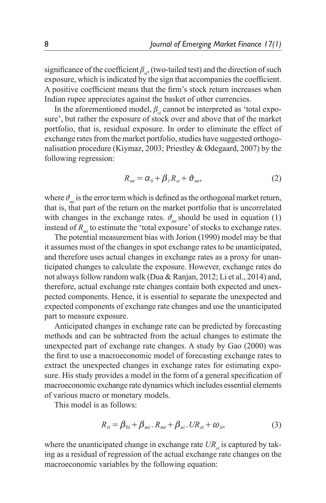significance of the coefficient  $\beta_{s,i}$ , (two-tailed test) and the direction of such exposure, which is indicated by the sign that accompanies the coefficient. A positive coefficient means that the firm's stock return increases when Indian rupee appreciates against the basket of other currencies.

In the aforementioned model,  $\beta_{si}$  cannot be interpreted as 'total exposure', but rather the exposure of stock over and above that of the market portfolio, that is, residual exposure. In order to eliminate the effect of exchange rates from the market portfolio, studies have suggested orthogonalisation procedure (Kiymaz, 2003; Priestley & Ødegaard, 2007) by the following regression:

$$
R_{mt} = \alpha_0 + \beta_1 R_{st} + \vartheta_{mt}, \qquad (2)
$$

where  $\theta_{m}$  is the error term which is defined as the orthogonal market return, that is, that part of the return on the market portfolio that is uncorrelated with changes in the exchange rates.  $\theta_{m}$  should be used in equation (1) instead of  $R_{mt}$  to estimate the 'total exposure' of stocks to exchange rates.

The potential measurement bias with Jorion (1990) model may be that it assumes most of the changes in spot exchange rates to be unanticipated, and therefore uses actual changes in exchange rates as a proxy for unanticipated changes to calculate the exposure. However, exchange rates do not always follow random walk (Dua & Ranjan, 2012; Li et al., 2014) and, therefore, actual exchange rate changes contain both expected and unexpected components. Hence, it is essential to separate the unexpected and expected components of exchange rate changes and use the unanticipated part to measure exposure.

Anticipated changes in exchange rate can be predicted by forecasting methods and can be subtracted from the actual changes to estimate the unexpected part of exchange rate changes. A study by Gao (2000) was the first to use a macroeconomic model of forecasting exchange rates to extract the unexpected changes in exchange rates for estimating exposure. His study provides a model in the form of a general specification of macroeconomic exchange rate dynamics which includes essential elements of various macro or monetary models.

This model is as follows:

$$
R_{it} = \beta_{0i} + \beta_{mi} \cdot R_{mt} + \beta_{ui} \cdot UR_{st} + \omega_{it}, \tag{3}
$$

where the unanticipated change in exchange rate  $UR_{st}$  is captured by taking as a residual of regression of the actual exchange rate changes on the macroeconomic variables by the following equation: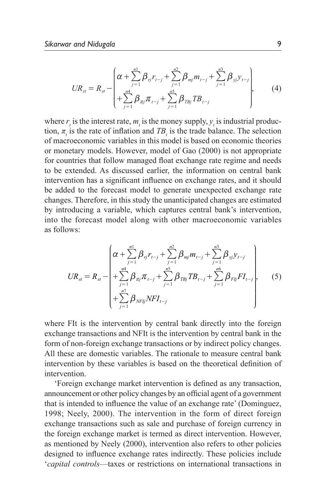$$
UR_{st} = R_{st} - \left(\alpha + \sum_{j=1}^{n!} \beta_{rj} r_{t-j} + \sum_{j=1}^{n2} \beta_{mj} m_{t-j} + \sum_{j=1}^{n3} \beta_{jj} y_{t-j}\right),
$$
(4)

where  $r_t$  is the interest rate,  $m_t$  is the money supply,  $y_t$  is industrial production,  $\pi$ <sub>*t*</sub> is the rate of inflation and  $TB$ <sub>*t*</sub> is the trade balance. The selection of macroeconomic variables in this model is based on economic theories or monetary models. However, model of Gao (2000) is not appropriate for countries that follow managed float exchange rate regime and needs to be extended. As discussed earlier, the information on central bank intervention has a significant influence on exchange rates, and it should be added to the forecast model to generate unexpected exchange rate changes. Therefore, in this study the unanticipated changes are estimated by introducing a variable, which captures central bank's intervention, into the forecast model along with other macroeconomic variables as follows:

$$
UR_{st} = R_{st} - \left(\alpha + \sum_{j=1}^{n} \beta_{rj} r_{t-j} + \sum_{j=1}^{n2} \beta_{mj} m_{t-j} + \sum_{j=1}^{n3} \beta_{yj} y_{t-j} + \sum_{j=1}^{n4} \beta_{rjj} T B_{t-j} + \sum_{j=1}^{n6} \beta_{Fjj} F I_{t-j}\right),
$$
(5)  
+  $\sum_{j=1}^{n7} \beta_{NFI} NFI_{t-j}$ 

where FIt is the intervention by central bank directly into the foreign exchange transactions and NFIt is the intervention by central bank in the form of non-foreign exchange transactions or by indirect policy changes. All these are domestic variables. The rationale to measure central bank intervention by these variables is based on the theoretical definition of intervention.

'Foreign exchange market intervention is defined as any transaction, announcement or other policy changes by an official agent of a government that is intended to influence the value of an exchange rate' (Dominguez, 1998; Neely, 2000). The intervention in the form of direct foreign exchange transactions such as sale and purchase of foreign currency in the foreign exchange market is termed as direct intervention. However, as mentioned by Neely (2000), intervention also refers to other policies designed to influence exchange rates indirectly. These policies include '*capital controls*—taxes or restrictions on international transactions in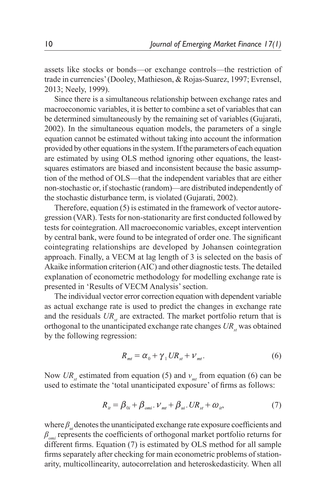assets like stocks or bonds—or exchange controls—the restriction of trade in currencies' (Dooley, Mathieson, & Rojas-Suarez, 1997; Evrensel, 2013; Neely, 1999).

Since there is a simultaneous relationship between exchange rates and macroeconomic variables, it is better to combine a set of variables that can be determined simultaneously by the remaining set of variables (Gujarati, 2002). In the simultaneous equation models, the parameters of a single equation cannot be estimated without taking into account the information provided by other equations in the system. If the parameters of each equation are estimated by using OLS method ignoring other equations, the leastsquares estimators are biased and inconsistent because the basic assumption of the method of OLS—that the independent variables that are either non-stochastic or, if stochastic (random)—are distributed independently of the stochastic disturbance term, is violated (Gujarati, 2002).

Therefore, equation (5) is estimated in the framework of vector autoregression (VAR). Tests for non-stationarity are first conducted followed by tests for cointegration. All macroeconomic variables, except intervention by central bank, were found to be integrated of order one. The significant cointegrating relationships are developed by Johansen cointegration approach. Finally, a VECM at lag length of 3 is selected on the basis of Akaike information criterion (AIC) and other diagnostic tests. The detailed explanation of econometric methodology for modelling exchange rate is presented in 'Results of VECM Analysis' section.

The individual vector error correction equation with dependent variable as actual exchange rate is used to predict the changes in exchange rate and the residuals  $UR_{st}$  are extracted. The market portfolio return that is orthogonal to the unanticipated exchange rate changes  $UR_{st}$  was obtained by the following regression:

$$
R_{mt} = \alpha_0 + \gamma_1 U R_{st} + \nu_{mt}.
$$
 (6)

Now  $UR_{st}$  estimated from equation (5) and  $v_{mt}$  from equation (6) can be used to estimate the 'total unanticipated exposure' of firms as follows:

$$
R_{ii} = \beta_{0i} + \beta_{omi} \cdot \nu_{mt} + \beta_{ui} \cdot UR_{st} + \omega_{it}, \tag{7}
$$

where  $\beta_{ui}$  denotes the unanticipated exchange rate exposure coefficients and *βomi* represents the coefficients of orthogonal market portfolio returns for different firms. Equation (7) is estimated by OLS method for all sample firms separately after checking for main econometric problems of stationarity, multicollinearity, autocorrelation and heteroskedasticity. When all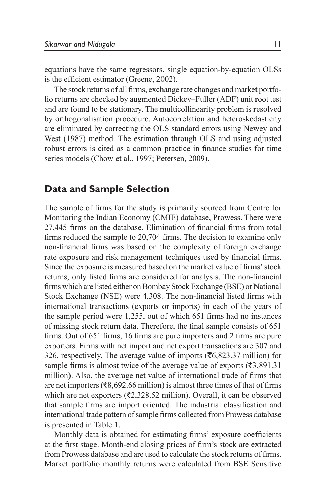equations have the same regressors, single equation-by-equation OLSs is the efficient estimator (Greene, 2002).

The stock returns of all firms, exchange rate changes and market portfolio returns are checked by augmented Dickey–Fuller (ADF) unit root test and are found to be stationary. The multicollinearity problem is resolved by orthogonalisation procedure. Autocorrelation and heteroskedasticity are eliminated by correcting the OLS standard errors using Newey and West (1987) method. The estimation through OLS and using adjusted robust errors is cited as a common practice in finance studies for time series models (Chow et al., 1997; Petersen, 2009).

## **Data and Sample Selection**

The sample of firms for the study is primarily sourced from Centre for Monitoring the Indian Economy (CMIE) database, Prowess. There were 27,445 firms on the database. Elimination of financial firms from total firms reduced the sample to 20,704 firms. The decision to examine only non-financial firms was based on the complexity of foreign exchange rate exposure and risk management techniques used by financial firms. Since the exposure is measured based on the market value of firms' stock returns, only listed firms are considered for analysis. The non-financial firms which are listed either on Bombay Stock Exchange (BSE) or National Stock Exchange (NSE) were 4,308. The non-financial listed firms with international transactions (exports or imports) in each of the years of the sample period were 1,255, out of which 651 firms had no instances of missing stock return data. Therefore, the final sample consists of 651 firms. Out of 651 firms, 16 firms are pure importers and 2 firms are pure exporters. Firms with net import and net export transactions are 307 and 326, respectively. The average value of imports  $(\overline{\mathfrak{F}}6,823.37 \text{ million})$  for sample firms is almost twice of the average value of exports  $(\overline{\mathfrak{F}}3,891.31)$ million). Also, the average net value of international trade of firms that are net importers ( $\overline{(}8,692.66 \text{ million})$  is almost three times of that of firms which are net exporters ( $\overline{(}2,328.52 \text{ million})$ ). Overall, it can be observed that sample firms are import oriented. The industrial classification and international trade pattern of sample firms collected from Prowess database is presented in Table 1.

Monthly data is obtained for estimating firms' exposure coefficients at the first stage. Month-end closing prices of firm's stock are extracted from Prowess database and are used to calculate the stock returns of firms. Market portfolio monthly returns were calculated from BSE Sensitive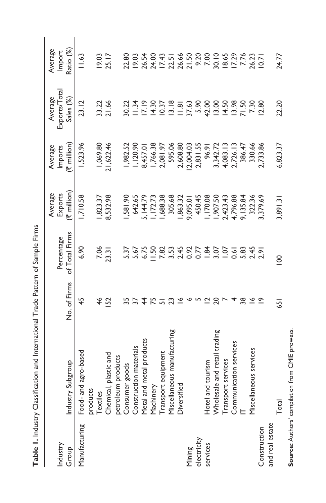| j      |
|--------|
|        |
| ļ<br>I |
| ֠<br>ļ |
|        |
|        |
| Í      |
|        |
| į      |

|                 |                                                                                                                                   |               |                | Average               | Average     | Average            | Average        |
|-----------------|-----------------------------------------------------------------------------------------------------------------------------------|---------------|----------------|-----------------------|-------------|--------------------|----------------|
| Industry        |                                                                                                                                   |               | Percentage     | Exports               | Imports     | Exports/Total      | Import         |
| Group           | Industry Subgroup                                                                                                                 | No. of Firms  | of Total Firms | $(3 \text{ million})$ | (₹ million) | Sales (%)          | Ratio (%)      |
| Manufacturing   | Food- and agro-based                                                                                                              | 45            | 6.90           | 1,710.58              | 1,523.96    | 23.12              | 11.63          |
|                 |                                                                                                                                   |               |                |                       |             |                    |                |
|                 |                                                                                                                                   | $\frac{4}{6}$ | 7.06           | ,823.37               | 1,069.80    | 33.22              | 19.03          |
|                 | products<br>Textiles<br>Chemical, plastic and                                                                                     | 52            | 23.31          | 8,532.98              | 21,622.46   | 21.66              | 25.17          |
|                 |                                                                                                                                   |               |                |                       |             |                    |                |
|                 | petroleum products<br>Consumer goods                                                                                              | 55            | 5.37           | 1,581.90              | ,982.52     | 30.22              | 22.80          |
|                 | Construction materials                                                                                                            | 57            | 5.67           | 642.65                | 1,120.90    | $11.34$<br>$17.19$ | 19.03          |
|                 |                                                                                                                                   | 4             | 6.75           | 5, 144.79             | 8,457.01    |                    | 26.54          |
|                 |                                                                                                                                   | 75            | $-50$          | 1,172.73              | 1,766.38    | 14.30              | 24.00          |
|                 |                                                                                                                                   | ᇚ             | 7.82           | ,688.38               | 2,081.97    | 10.37              | 17.43          |
|                 |                                                                                                                                   | 23            | 3.53           | 305.68                | 595.06      | 13.18              | 22.51          |
|                 | Metal and metal products<br>Machinery<br>Transport equipment<br>Miscellaneous manufacturing<br>Diversified                        | ৺             |                | ,863.32               | 2,608.80    | 11.8               | 26.66<br>21.50 |
| Mining          |                                                                                                                                   | ∾             | 2.45<br>0.92   | 9,095.0               | 2,004.03    | 37.63              |                |
| electricity     |                                                                                                                                   |               | 0.77           | 450.45                | 2,831.55    | 5.90               | 9.20           |
| services        |                                                                                                                                   |               | 1.84           | ,170.08               | 96.91       | 42.00              |                |
|                 | Hotel and tourism<br>Wholesale and retail trading<br>Transport services<br>Communication services<br>IT<br>Miscellaneous services | 20            | 3.07           | ,907.50               | 3,342.72    | 13.00              | 7.00           |
|                 |                                                                                                                                   |               | $\overline{5}$ | 2,423.43              | 4,083.13    | 14.50              | 18.65          |
|                 |                                                                                                                                   |               | 0.61           | 4,796.88              | 2,726.13    | 13.98              | <b>17.29</b>   |
|                 |                                                                                                                                   | 38            | 5.83           | 9,135.84              | 386.47      | 71.50              | 7.76           |
|                 |                                                                                                                                   | ڡ             | $2.45$<br>2.91 | 322.36                | 330.66      | 7.30               | 26.23          |
| Construction    |                                                                                                                                   |               |                | 3,379.69              | 2,733.86    | 12.80              | 10.71          |
| and real estate |                                                                                                                                   |               |                |                       |             |                    |                |
|                 | Total                                                                                                                             | 651           | $\frac{8}{1}$  | 3,891.31              | 6,823.37    | 22.20              | 24.77          |

Source: Authors' compilation from CMIE prowess. **Source:** Authors' compilation from CMIE prowess.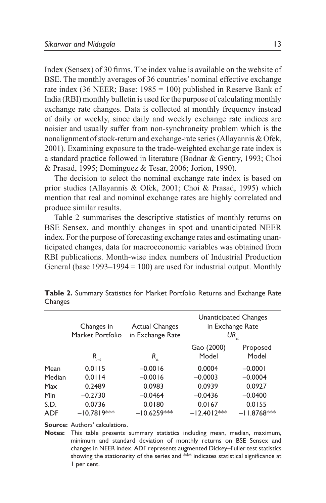Index (Sensex) of 30 firms. The index value is available on the website of BSE. The monthly averages of 36 countries' nominal effective exchange rate index (36 NEER; Base: 1985 = 100) published in Reserve Bank of India (RBI) monthly bulletin is used for the purpose of calculating monthly exchange rate changes. Data is collected at monthly frequency instead of daily or weekly, since daily and weekly exchange rate indices are noisier and usually suffer from non-synchroneity problem which is the nonalignment of stock-return and exchange-rate series (Allayannis & Ofek, 2001). Examining exposure to the trade-weighted exchange rate index is a standard practice followed in literature (Bodnar & Gentry, 1993; Choi & Prasad, 1995; Dominguez & Tesar, 2006; Jorion, 1990).

The decision to select the nominal exchange rate index is based on prior studies (Allayannis & Ofek, 2001; Choi & Prasad, 1995) which mention that real and nominal exchange rates are highly correlated and produce similar results.

Table 2 summarises the descriptive statistics of monthly returns on BSE Sensex, and monthly changes in spot and unanticipated NEER index. For the purpose of forecasting exchange rates and estimating unanticipated changes, data for macroeconomic variables was obtained from RBI publications. Month-wise index numbers of Industrial Production General (base  $1993-1994 = 100$ ) are used for industrial output. Monthly

|             | Changes in<br>Market Portfolio | <b>Actual Changes</b><br>in Exchange Rate |                         | Unanticipated Changes<br>in Exchange Rate<br>$UR_{st}$ |
|-------------|--------------------------------|-------------------------------------------|-------------------------|--------------------------------------------------------|
|             | $R_{m t}$                      | $R_{st}$                                  | Gao (2000)<br>Model     | Proposed<br>Model                                      |
| Mean        | 0.0115                         | $-0.0016$                                 | 0.0004                  | $-0.0001$                                              |
| Median      | 0.0114                         | $-0.0016$                                 | $-0.0003$               | $-0.0004$                                              |
| Max         | 0.2489                         | 0.0983                                    | 0.0939                  | 0.0927                                                 |
| <b>Min</b>  | $-0.2730$                      | $-0.0464$                                 | $-0.0436$               | $-0.0400$                                              |
| S.D.<br>ADF | 0.0736<br>$-10.7819***$        | 0.0180<br>$-10.6259***$                   | 0.0167<br>$-12.4012***$ | 0.0155<br>$-11.8768***$                                |

**Table 2.** Summary Statistics for Market Portfolio Returns and Exchange Rate **Changes** 

**Source:** Authors' calculations.

**Notes:** This table presents summary statistics including mean, median, maximum, minimum and standard deviation of monthly returns on BSE Sensex and changes in NEER index. ADF represents augmented Dickey–Fuller test statistics showing the stationarity of the series and \*\*\* indicates statistical significance at 1 per cent.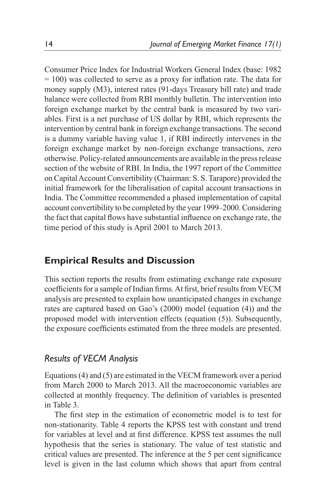Consumer Price Index for Industrial Workers General Index (base: 1982 = 100) was collected to serve as a proxy for inflation rate. The data for money supply (M3), interest rates (91-days Treasury bill rate) and trade balance were collected from RBI monthly bulletin. The intervention into foreign exchange market by the central bank is measured by two variables. First is a net purchase of US dollar by RBI, which represents the intervention by central bank in foreign exchange transactions. The second is a dummy variable having value 1, if RBI indirectly intervenes in the foreign exchange market by non-foreign exchange transactions, zero otherwise. Policy-related announcements are available in the press release section of the website of RBI. In India, the 1997 report of the Committee on Capital Account Convertibility (Chairman: S. S. Tarapore) provided the initial framework for the liberalisation of capital account transactions in India. The Committee recommended a phased implementation of capital account convertibility to be completed by the year 1999–2000. Considering the fact that capital flows have substantial influence on exchange rate, the time period of this study is April 2001 to March 2013.

# **Empirical Results and Discussion**

This section reports the results from estimating exchange rate exposure coefficients for a sample of Indian firms. At first, brief results from VECM analysis are presented to explain how unanticipated changes in exchange rates are captured based on Gao's (2000) model (equation (4)) and the proposed model with intervention effects (equation (5)). Subsequently, the exposure coefficients estimated from the three models are presented.

# *Results of VECM Analysis*

Equations (4) and (5) are estimated in the VECM framework over a period from March 2000 to March 2013. All the macroeconomic variables are collected at monthly frequency. The definition of variables is presented in Table 3.

The first step in the estimation of econometric model is to test for non-stationarity. Table 4 reports the KPSS test with constant and trend for variables at level and at first difference. KPSS test assumes the null hypothesis that the series is stationary. The value of test statistic and critical values are presented. The inference at the 5 per cent significance level is given in the last column which shows that apart from central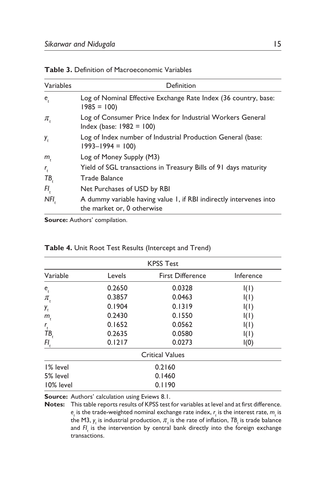| Variables                  | Definition                                                                                       |
|----------------------------|--------------------------------------------------------------------------------------------------|
| e,                         | Log of Nominal Effective Exchange Rate Index (36 country, base:<br>$1985 = 100$                  |
| $\pi$ ,                    | Log of Consumer Price Index for Industrial Workers General<br>$Index (base: 1982 = 100)$         |
| у,                         | Log of Index number of Industrial Production General (base:<br>$1993 - 1994 = 100$               |
| $m_{i}$                    | Log of Money Supply (M3)                                                                         |
| $r_{\scriptscriptstyle t}$ | Yield of SGL transactions in Treasury Bills of 91 days maturity                                  |
| TB,                        | Trade Balance                                                                                    |
| FI,                        | Net Purchases of USD by RBI                                                                      |
| NFI.                       | A dummy variable having value 1, if RBI indirectly intervenes into<br>the market or, 0 otherwise |

**Table 3.** Definition of Macroeconomic Variables

**Source:** Authors' compilation.

| <b>KPSS Test</b>             |                        |                         |           |  |  |  |  |  |
|------------------------------|------------------------|-------------------------|-----------|--|--|--|--|--|
| Variable                     | Levels                 | <b>First Difference</b> | Inference |  |  |  |  |  |
| $e_{_{t}}$                   | 0.2650                 | 0.0328                  | I(I)      |  |  |  |  |  |
| $\pi_{\scriptscriptstyle t}$ | 0.3857                 | 0.0463                  | I(I)      |  |  |  |  |  |
| У,                           | 0.1904                 | 0.1319                  | I(I)      |  |  |  |  |  |
| $m_{\tilde{t}}$              | 0.2430                 | 0.1550                  | I(I)      |  |  |  |  |  |
| $r_{\rm t}$                  | 0.1652                 | 0.0562                  | I(I)      |  |  |  |  |  |
| ŤΒ,                          | 0.2635                 | 0.0580                  | I(I)      |  |  |  |  |  |
| $Fl_t$                       | 0.1217                 | 0.0273                  | I(0)      |  |  |  |  |  |
|                              | <b>Critical Values</b> |                         |           |  |  |  |  |  |
| 1% level                     | 0.2160                 |                         |           |  |  |  |  |  |
| 5% level                     |                        | 0.1460                  |           |  |  |  |  |  |
| 10% level                    |                        | 0.1190                  |           |  |  |  |  |  |

#### **Table 4.** Unit Root Test Results (Intercept and Trend)

**Source:** Authors' calculation using Eviews 8.1.

**Notes:** This table reports results of KPSS test for variables at level and at first difference.  $e_t$  is the trade-weighted nominal exchange rate index,  $r_t$  is the interest rate,  $m_t$  is the M3,  $\gamma_{t}$  is industrial production,  $\pi_{t}$  is the rate of inflation,  $\tau_{B_{t}}$  is trade balance and *FI t* is the intervention by central bank directly into the foreign exchange transactions.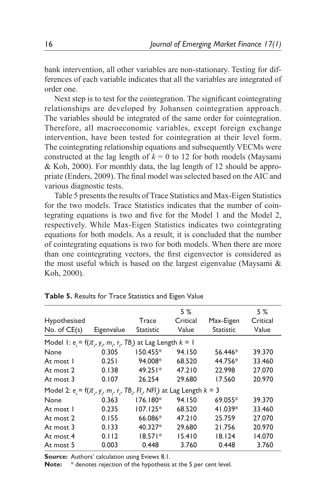bank intervention, all other variables are non-stationary. Testing for differences of each variable indicates that all the variables are integrated of order one.

Next step is to test for the cointegration. The significant cointegrating relationships are developed by Johansen cointegration approach. The variables should be integrated of the same order for cointegration. Therefore, all macroeconomic variables, except foreign exchange intervention, have been tested for cointegration at their level form. The cointegrating relationship equations and subsequently VECMs were constructed at the lag length of  $k = 0$  to 12 for both models (Maysami & Koh, 2000). For monthly data, the lag length of 12 should be appropriate (Enders, 2009). The final model was selected based on the AIC and various diagnostic tests.

Table 5 presents the results of Trace Statistics and Max-Eigen Statistics for the two models. Trace Statistics indicates that the number of cointegrating equations is two and five for the Model 1 and the Model 2, respectively. While Max-Eigen Statistics indicates two cointegrating equations for both models. As a result, it is concluded that the number of cointegrating equations is two for both models. When there are more than one cointegrating vectors, the first eigenvector is considered as the most useful which is based on the largest eigenvalue (Maysami & Koh, 2000).

|            |                  | 5 %      |                                                                      | 5 %                                                                               |
|------------|------------------|----------|----------------------------------------------------------------------|-----------------------------------------------------------------------------------|
|            | <b>Trace</b>     | Critical | Max-Eigen                                                            | Critical                                                                          |
| Eigenvalue | <b>Statistic</b> | Value    | <b>Statistic</b>                                                     | Value                                                                             |
|            |                  |          |                                                                      |                                                                                   |
| 0.305      | $150.455*$       | 94.150   | $56.446*$                                                            | 39.370                                                                            |
| 0.251      | 94.008*          | 68.520   | 44.756*                                                              | 33.460                                                                            |
| 0.138      | 49.251*          | 47.210   | 22.998                                                               | 27.070                                                                            |
| 0.107      | 26.254           | 29.680   | 17.560                                                               | 20.970                                                                            |
|            |                  |          |                                                                      |                                                                                   |
| 0.363      | $176.180*$       | 94.150   | 69.055*                                                              | 39.370                                                                            |
| 0.235      | $107.125*$       | 68.520   | 41.039*                                                              | 33.460                                                                            |
| 0.155      | 66.086*          | 47.210   | 25.759                                                               | 27.070                                                                            |
| 0.133      | 40.327*          | 29.680   | 21.756                                                               | 20.970                                                                            |
| 0.112      | $18.571*$        | 15.410   | 18.124                                                               | 14.070                                                                            |
| 0.003      | 0.448            | 3.760    | 0.448                                                                | 3.760                                                                             |
|            |                  |          | Model 1: $e_i = f(\pi_i, y_i, m_i, r_i, TB_i)$ at Lag Length $k = 1$ | Model 2: $e_i = f(\pi_i, y_i, m_i, r_i, TB_i, FI_i, NFI_i)$ at Lag Length $k = 3$ |

**Table 5.** Results for Trace Statistics and Eigen Value

**Source:** Authors' calculation using Eviews 8.1.

**Note:** \* denotes rejection of the hypothesis at the 5 per cent level.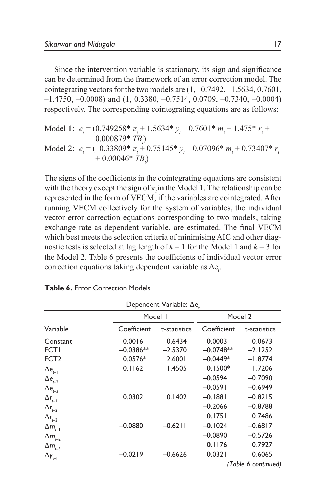Since the intervention variable is stationary, its sign and significance can be determined from the framework of an error correction model. The cointegrating vectors for the two models are  $(1, -0.7492, -1.5634, 0.7601)$ ,  $-1.4750, -0.0008$  and  $(1, 0.3380, -0.7514, 0.0709, -0.7340, -0.0004)$ respectively. The corresponding cointegrating equations are as follows:

Model 1: 
$$
e_t = (0.749258^* \pi_t + 1.5634^* y_t - 0.7601^* m_t + 1.475^* r_t + 0.000879^* TB_t)
$$
  
Model 2:  $e_t = (-0.33809^* \pi_t + 0.75145^* y_t - 0.07096^* m_t + 0.73407^* r_t + 0.00046^* TB_t)$ 

The signs of the coefficients in the cointegrating equations are consistent with the theory except the sign of  $\pi$ <sub>*t*</sub> in the Model 1. The relationship can be represented in the form of VECM, if the variables are cointegrated. After running VECM collectively for the system of variables, the individual vector error correction equations corresponding to two models, taking exchange rate as dependent variable, are estimated. The final VECM which best meets the selection criteria of minimising AIC and other diagnostic tests is selected at lag length of  $k = 1$  for the Model 1 and  $k = 3$  for the Model 2. Table 6 presents the coefficients of individual vector error correction equations taking dependent variable as  $\Delta e_t$ .

| Dependent Variable: ∆e.            |             |               |             |                     |  |  |  |  |
|------------------------------------|-------------|---------------|-------------|---------------------|--|--|--|--|
|                                    | Model I     |               |             | Model 2             |  |  |  |  |
| Variable                           | Coefficient | t-statistics  | Coefficient | t-statistics        |  |  |  |  |
| Constant                           | 0.0016      | 0.6434        | 0.0003      | 0.0673              |  |  |  |  |
| <b>ECTI</b>                        | $-0.0386**$ | $-2.5370$     | $-0.0748**$ | $-2.1252$           |  |  |  |  |
| ECT <sub>2</sub>                   | $0.0576*$   | 2.6001        | $-0.0449*$  | $-1.8774$           |  |  |  |  |
| $\Delta$ e <sub>t-l</sub>          | 0.1162      | <b>I.4505</b> | $0.1500*$   | 1.7206              |  |  |  |  |
| $\Delta$ e <sub>t-2</sub>          |             |               | $-0.0594$   | $-0.7090$           |  |  |  |  |
| $\Delta$ e <sub>t-3</sub>          |             |               | $-0.0591$   | $-0.6949$           |  |  |  |  |
| $\Delta r_{t-1}$                   | 0.0302      | 0.1402        | $-0.1881$   | $-0.8215$           |  |  |  |  |
| $\Delta r_{_{t-2}}$                |             |               | $-0.2066$   | $-0.8788$           |  |  |  |  |
| $\Delta r_{t-3}$                   |             |               | 0.1751      | 0.7486              |  |  |  |  |
| $\Delta m_{_{t-1}}$                | $-0.0880$   | $-0.6211$     | $-0.1024$   | $-0.6817$           |  |  |  |  |
| $\Delta m_{_{t\!-\!2}}$            |             |               | $-0.0890$   | $-0.5726$           |  |  |  |  |
| $\Delta m_{_{t=3}}$                |             |               | 0.1176      | 0.7927              |  |  |  |  |
| $\Delta \textit{y}_{\textit{t-l}}$ | $-0.0219$   | $-0.6626$     | 0.0321      | 0.6065              |  |  |  |  |
|                                    |             |               |             | (Table 6 continued) |  |  |  |  |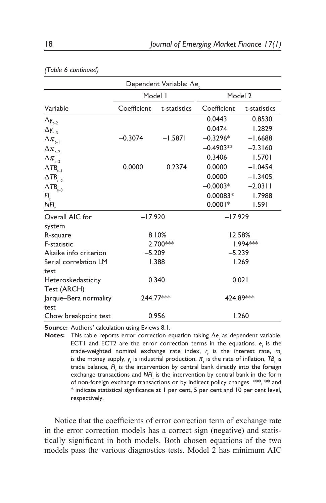| Dependent Variable: $\Delta$ e  |             |              |             |              |  |  |  |
|---------------------------------|-------------|--------------|-------------|--------------|--|--|--|
|                                 | Model I     |              | Model 2     |              |  |  |  |
| Variable                        | Coefficient | t-statistics | Coefficient | t-statistics |  |  |  |
| $\Delta y_{t-2}$                |             |              | 0.0443      | 0.8530       |  |  |  |
| $\Delta y_{t=3}$                |             |              | 0.0474      | 1.2829       |  |  |  |
| $\Delta\pi_{_{t\!-\!1}}$        | $-0.3074$   | $-1.5871$    | $-0.3296*$  | $-1.6688$    |  |  |  |
| $\Delta\pi_{_{t\!-\!2}}$        |             |              | $-0.4903**$ | $-2.3160$    |  |  |  |
| $\Delta\pi_{\mbox{\tiny{t=3}}}$ |             |              | 0.3406      | 1.5701       |  |  |  |
| $\Delta T B_{_{t-1}}$           | 0.0000      | 0.2374       | 0.0000      | $-1.0454$    |  |  |  |
| $\Delta$ TB <sub>t-2</sub>      |             |              | 0.0000      | $-1.3405$    |  |  |  |
| $\Delta$ TB <sub>t-3</sub>      |             |              | $-0.0003*$  | $-2.0311$    |  |  |  |
| $Fl_t$                          |             |              | $0.00083*$  | 1.7988       |  |  |  |
| $NFI_t$                         |             |              | $0.0001*$   | 1.591        |  |  |  |
| Overall AIC for                 | $-17.920$   |              | $-17.929$   |              |  |  |  |
| system                          |             |              |             |              |  |  |  |
| R-square                        |             | 8.10%        |             | 12.58%       |  |  |  |
| F-statistic                     |             | 2.700***     |             | 1.994***     |  |  |  |
| Akaike info criterion           | $-5.209$    |              | $-5.239$    |              |  |  |  |
| Serial correlation LM           |             | 1.388        |             | 1.269        |  |  |  |
| test                            |             |              |             |              |  |  |  |
| Heteroskedasticity              |             | 0.340        |             | 0.021        |  |  |  |
| Test (ARCH)                     |             |              |             |              |  |  |  |
| Jarque-Bera normality           |             | 244.77***    | 424.89***   |              |  |  |  |
| test                            |             |              |             |              |  |  |  |
| Chow breakpoint test            |             | 0.956        |             | 1.260        |  |  |  |

|  |  |  | (Table 6 continued) |  |
|--|--|--|---------------------|--|
|  |  |  |                     |  |

**Source:** Authors' calculation using Eviews 8.1.

**Notes:** This table reports error correction equation taking  $\Delta e_t$  as dependent variable. ECT1 and ECT2 are the error correction terms in the equations. *e t* is the trade-weighted nominal exchange rate index,  $r_{\rm t}$  is the interest rate,  $m_{\rm t}$ is the money supply,  $\gamma_{_t}$  is industrial production,  $\pi_{_t}$  is the rate of inflation,  $\textsf{TB}_{{_t}}$  is trade balance, *FI t* is the intervention by central bank directly into the foreign exchange transactions and *NFI*<sub>1</sub> is the intervention by central bank in the form of non-foreign exchange transactions or by indirect policy changes. \*\*\*, \*\* and \* indicate statistical significance at 1 per cent, 5 per cent and 10 per cent level, respectively.

Notice that the coefficients of error correction term of exchange rate in the error correction models has a correct sign (negative) and statistically significant in both models. Both chosen equations of the two models pass the various diagnostics tests. Model 2 has minimum AIC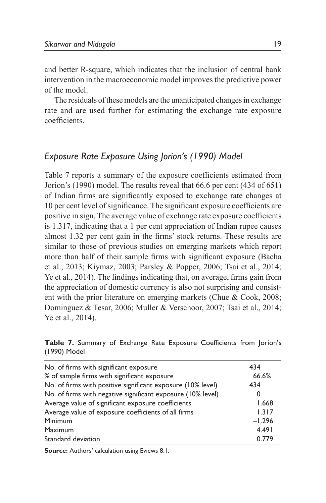and better R-square, which indicates that the inclusion of central bank intervention in the macroeconomic model improves the predictive power of the model.

The residuals of these models are the unanticipated changes in exchange rate and are used further for estimating the exchange rate exposure coefficients.

# *Exposure Rate Exposure Using Jorion's (1990) Model*

Table 7 reports a summary of the exposure coefficients estimated from Jorion's (1990) model. The results reveal that 66.6 per cent (434 of 651) of Indian firms are significantly exposed to exchange rate changes at 10 per cent level of significance. The significant exposure coefficients are positive in sign. The average value of exchange rate exposure coefficients is 1.317, indicating that a 1 per cent appreciation of Indian rupee causes almost 1.32 per cent gain in the firms' stock returns. These results are similar to those of previous studies on emerging markets which report more than half of their sample firms with significant exposure (Bacha et al., 2013; Kiymaz, 2003; Parsley & Popper, 2006; Tsai et al., 2014; Ye et al., 2014). The findings indicating that, on average, firms gain from the appreciation of domestic currency is also not surprising and consistent with the prior literature on emerging markets (Chue & Cook, 2008; Dominguez & Tesar, 2006; Muller & Verschoor, 2007; Tsai et al., 2014; Ye et al., 2014).

|              |  |  |  | Table 7. Summary of Exchange Rate Exposure Coefficients from Jorion's |  |
|--------------|--|--|--|-----------------------------------------------------------------------|--|
| (1990) Model |  |  |  |                                                                       |  |

| No. of firms with significant exposure                      | 434      |
|-------------------------------------------------------------|----------|
| % of sample firms with significant exposure                 | 66.6%    |
| No. of firms with positive significant exposure (10% level) | 434      |
| No. of firms with negative significant exposure (10% level) | O        |
| Average value of significant exposure coefficients          | 1.668    |
| Average value of exposure coefficients of all firms         | 1.317    |
| Minimum                                                     | $-1.296$ |
| Maximum                                                     | 4.491    |
| Standard deviation                                          | 0.779    |

**Source:** Authors' calculation using Eviews 8.1.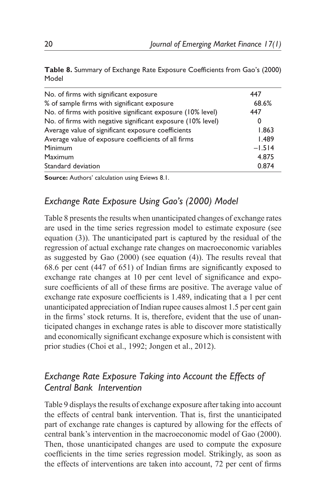|       | Table 8. Summary of Exchange Rate Exposure Coefficients from Gao's (2000) |  |  |  |
|-------|---------------------------------------------------------------------------|--|--|--|
| Model |                                                                           |  |  |  |

| No. of firms with significant exposure                      | 447      |
|-------------------------------------------------------------|----------|
| % of sample firms with significant exposure                 | 68.6%    |
| No. of firms with positive significant exposure (10% level) | 447      |
| No. of firms with negative significant exposure (10% level) | 0        |
| Average value of significant exposure coefficients          | 1.863    |
| Average value of exposure coefficients of all firms         | 1.489    |
| Minimum                                                     | $-1.514$ |
| Maximum                                                     | 4.875    |
| Standard deviation                                          | 0.874    |

**Source:** Authors' calculation using Eviews 8.1.

# *Exchange Rate Exposure Using Gao's (2000) Model*

Table 8 presents the results when unanticipated changes of exchange rates are used in the time series regression model to estimate exposure (see equation (3)). The unanticipated part is captured by the residual of the regression of actual exchange rate changes on macroeconomic variables as suggested by Gao (2000) (see equation (4)). The results reveal that 68.6 per cent (447 of 651) of Indian firms are significantly exposed to exchange rate changes at 10 per cent level of significance and exposure coefficients of all of these firms are positive. The average value of exchange rate exposure coefficients is 1.489, indicating that a 1 per cent unanticipated appreciation of Indian rupee causes almost 1.5 per cent gain in the firms' stock returns. It is, therefore, evident that the use of unanticipated changes in exchange rates is able to discover more statistically and economically significant exchange exposure which is consistent with prior studies (Choi et al., 1992; Jongen et al., 2012).

# *Exchange Rate Exposure Taking into Account the Effects of Central Bank Intervention*

Table 9 displays the results of exchange exposure after taking into account the effects of central bank intervention. That is, first the unanticipated part of exchange rate changes is captured by allowing for the effects of central bank's intervention in the macroeconomic model of Gao (2000). Then, those unanticipated changes are used to compute the exposure coefficients in the time series regression model. Strikingly, as soon as the effects of interventions are taken into account, 72 per cent of firms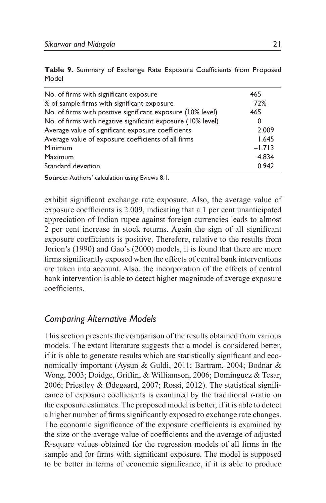|       |  |  |  | Table 9. Summary of Exchange Rate Exposure Coefficients from Proposed |  |
|-------|--|--|--|-----------------------------------------------------------------------|--|
| Model |  |  |  |                                                                       |  |

| No. of firms with significant exposure                      | 465      |
|-------------------------------------------------------------|----------|
| % of sample firms with significant exposure                 | 72%      |
| No. of firms with positive significant exposure (10% level) | 465      |
| No. of firms with negative significant exposure (10% level) | 0        |
| Average value of significant exposure coefficients          | 2.009    |
| Average value of exposure coefficients of all firms         | 1.645    |
| Minimum                                                     | $-1.713$ |
| Maximum                                                     | 4.834    |
| Standard deviation                                          | 0.942    |

**Source:** Authors' calculation using Eviews 8.1.

exhibit significant exchange rate exposure. Also, the average value of exposure coefficients is 2.009, indicating that a 1 per cent unanticipated appreciation of Indian rupee against foreign currencies leads to almost 2 per cent increase in stock returns. Again the sign of all significant exposure coefficients is positive. Therefore, relative to the results from Jorion's (1990) and Gao's (2000) models, it is found that there are more firms significantly exposed when the effects of central bank interventions are taken into account. Also, the incorporation of the effects of central bank intervention is able to detect higher magnitude of average exposure coefficients.

### *Comparing Alternative Models*

This section presents the comparison of the results obtained from various models. The extant literature suggests that a model is considered better, if it is able to generate results which are statistically significant and economically important (Aysun & Guldi, 2011; Bartram, 2004; Bodnar & Wong, 2003; Doidge, Griffin, & Williamson, 2006; Dominguez & Tesar, 2006; Priestley & Ødegaard, 2007; Rossi, 2012). The statistical significance of exposure coefficients is examined by the traditional *t*-ratio on the exposure estimates. The proposed model is better, if it is able to detect a higher number of firms significantly exposed to exchange rate changes. The economic significance of the exposure coefficients is examined by the size or the average value of coefficients and the average of adjusted R-square values obtained for the regression models of all firms in the sample and for firms with significant exposure. The model is supposed to be better in terms of economic significance, if it is able to produce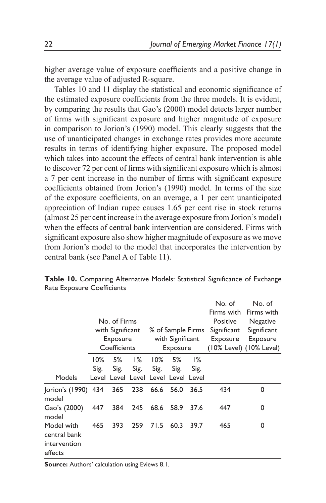higher average value of exposure coefficients and a positive change in the average value of adjusted R-square.

Tables 10 and 11 display the statistical and economic significance of the estimated exposure coefficients from the three models. It is evident, by comparing the results that Gao's (2000) model detects larger number of firms with significant exposure and higher magnitude of exposure in comparison to Jorion's (1990) model. This clearly suggests that the use of unanticipated changes in exchange rates provides more accurate results in terms of identifying higher exposure. The proposed model which takes into account the effects of central bank intervention is able to discover 72 per cent of firms with significant exposure which is almost a 7 per cent increase in the number of firms with significant exposure coefficients obtained from Jorion's (1990) model. In terms of the size of the exposure coefficients, on an average, a 1 per cent unanticipated appreciation of Indian rupee causes 1.65 per cent rise in stock returns (almost 25 per cent increase in the average exposure from Jorion's model) when the effects of central bank intervention are considered. Firms with significant exposure also show higher magnitude of exposure as we move from Jorion's model to the model that incorporates the intervention by central bank (see Panel A of Table 11).

|                                                       |                | No. of Firms<br>with Significant<br>Exposure<br>Coefficients |               |                                                       | % of Sample Firms<br>with Significant<br>Exposure |            | No. of<br>Firms with<br>Positive<br>Significant<br>Exposure | No. of<br>Firms with<br>Negative<br>Significant<br>Exposure<br>$(10\%$ Level) $(10\%$ Level) |
|-------------------------------------------------------|----------------|--------------------------------------------------------------|---------------|-------------------------------------------------------|---------------------------------------------------|------------|-------------------------------------------------------------|----------------------------------------------------------------------------------------------|
| Models                                                | $10\%$<br>Sig. | 5%<br>Sig.                                                   | $1\%$<br>Sig. | $10\%$<br>Sig.<br>Level Level Level Level Level Level | 5%<br>Sig.                                        | 1%<br>Sig. |                                                             |                                                                                              |
| Jorion's (1990) 434<br>model                          |                |                                                              | 365 238       | 66.6                                                  | - 56.0                                            | 36.5       | 434                                                         | 0                                                                                            |
| Gao's (2000)<br>model                                 | 447            | 384                                                          | 245           | 68.6                                                  | 58.9                                              | 37.6       | 447                                                         | 0                                                                                            |
| Model with<br>central bank<br>intervention<br>effects | 465            | 393                                                          | 259           | 71.5                                                  | 60.3                                              | 39.7       | 465                                                         | 0                                                                                            |

**Table 10.** Comparing Alternative Models: Statistical Significance of Exchange Rate Exposure Coefficients

**Source:** Authors' calculation using Eviews 8.1.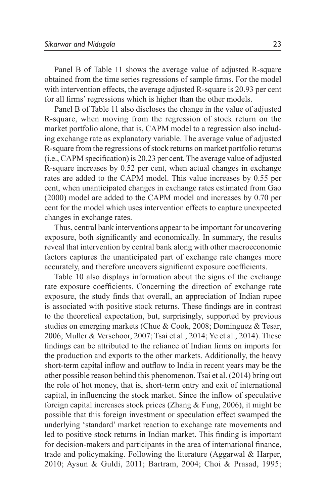Panel B of Table 11 shows the average value of adjusted R-square obtained from the time series regressions of sample firms. For the model with intervention effects, the average adjusted R-square is 20.93 per cent for all firms' regressions which is higher than the other models.

Panel B of Table 11 also discloses the change in the value of adjusted R-square, when moving from the regression of stock return on the market portfolio alone, that is, CAPM model to a regression also including exchange rate as explanatory variable. The average value of adjusted R-square from the regressions of stock returns on market portfolio returns (i.e., CAPM specification) is 20.23 per cent. The average value of adjusted R-square increases by 0.52 per cent, when actual changes in exchange rates are added to the CAPM model. This value increases by 0.55 per cent, when unanticipated changes in exchange rates estimated from Gao (2000) model are added to the CAPM model and increases by 0.70 per cent for the model which uses intervention effects to capture unexpected changes in exchange rates.

Thus, central bank interventions appear to be important for uncovering exposure, both significantly and economically. In summary, the results reveal that intervention by central bank along with other macroeconomic factors captures the unanticipated part of exchange rate changes more accurately, and therefore uncovers significant exposure coefficients.

Table 10 also displays information about the signs of the exchange rate exposure coefficients. Concerning the direction of exchange rate exposure, the study finds that overall, an appreciation of Indian rupee is associated with positive stock returns. These findings are in contrast to the theoretical expectation, but, surprisingly, supported by previous studies on emerging markets (Chue & Cook, 2008; Dominguez & Tesar, 2006; Muller & Verschoor, 2007; Tsai et al., 2014; Ye et al., 2014). These findings can be attributed to the reliance of Indian firms on imports for the production and exports to the other markets. Additionally, the heavy short-term capital inflow and outflow to India in recent years may be the other possible reason behind this phenomenon. Tsai et al. (2014) bring out the role of hot money, that is, short-term entry and exit of international capital, in influencing the stock market. Since the inflow of speculative foreign capital increases stock prices (Zhang & Fung, 2006), it might be possible that this foreign investment or speculation effect swamped the underlying 'standard' market reaction to exchange rate movements and led to positive stock returns in Indian market. This finding is important for decision-makers and participants in the area of international finance, trade and policymaking. Following the literature (Aggarwal & Harper, 2010; Aysun & Guldi, 2011; Bartram, 2004; Choi & Prasad, 1995;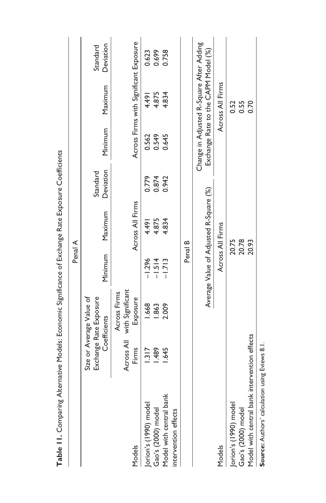| D                                                                      |                     | D                                                                  |          | o                                      |                       |                |                                                                                 |                       |
|------------------------------------------------------------------------|---------------------|--------------------------------------------------------------------|----------|----------------------------------------|-----------------------|----------------|---------------------------------------------------------------------------------|-----------------------|
|                                                                        |                     |                                                                    | Penal A  |                                        |                       |                |                                                                                 |                       |
|                                                                        |                     | Size or Average Value of<br>Exchange Rate Exposure<br>Coefficients | Minimum  | Maximum                                | Deviation<br>Standard | Minimum        | Maximum                                                                         | Deviation<br>Standard |
| Models                                                                 | Across All<br>Firms | with Significant<br>Across Firms<br>Exposure                       |          | Across All Firms                       |                       |                | Across Firms with Significant Exposure                                          |                       |
|                                                                        | 1.317               | 1.668                                                              | $-1.296$ | 4.491                                  | 0.779                 |                | 164.49                                                                          | 0.623                 |
|                                                                        | 1.489               | 1.863                                                              | $-1.514$ | 4.875                                  |                       | 0.562<br>0.549 | 4.875                                                                           |                       |
| Jorion's (1990) model<br>Gao's (2000) model<br>Model with central bank | 1.645               | 2.009                                                              | $-1.713$ | 4.834                                  | 0.874<br>0.942        | 0.645          | 4.834                                                                           | 0.699<br>0.758        |
| intervention effects                                                   |                     |                                                                    |          |                                        |                       |                |                                                                                 |                       |
|                                                                        |                     |                                                                    | Penal B  |                                        |                       |                |                                                                                 |                       |
|                                                                        |                     |                                                                    |          | Average Value of Adjusted R-Square (%) |                       |                | Change in Adjusted R-Square After Adding<br>Exchange Rate to the CAPM Model (%) |                       |
| Models                                                                 |                     |                                                                    |          | Across All Firms                       |                       |                | Across All Firms                                                                |                       |
|                                                                        |                     |                                                                    |          | 20.75                                  |                       |                | 0.52                                                                            |                       |
| Jorion's (1990) model<br>Gao's (2000) model                            |                     |                                                                    |          | 20.78                                  |                       |                | 0.55                                                                            |                       |
| Model with central bank intervention effects                           |                     |                                                                    |          | 20.93                                  |                       |                | 0.70                                                                            |                       |
| $\ddot{\phantom{0}}$                                                   | ;                   |                                                                    |          |                                        |                       |                |                                                                                 |                       |

Table 11. Comparing Alternative Models: Economic Significance of Exchange Rate Exposure Coefficients **Table 11.** Comparing Alternative Models: Economic Significance of Exchange Rate Exposure Coefficients

Source: Authors' calculation using Eviews 8.1. **Source:** Authors' calculation using Eviews 8.1.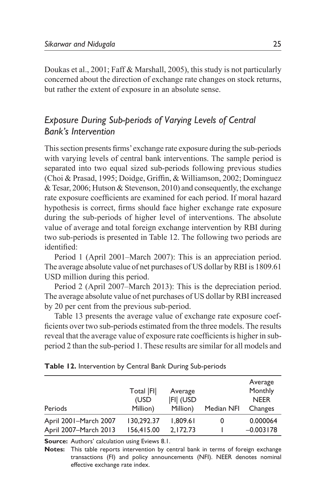Doukas et al., 2001; Faff & Marshall, 2005), this study is not particularly concerned about the direction of exchange rate changes on stock returns, but rather the extent of exposure in an absolute sense.

# *Exposure During Sub-periods of Varying Levels of Central Bank's Intervention*

This section presents firms' exchange rate exposure during the sub-periods with varying levels of central bank interventions. The sample period is separated into two equal sized sub-periods following previous studies (Choi & Prasad, 1995; Doidge, Griffin, & Williamson, 2002; Dominguez & Tesar, 2006; Hutson & Stevenson, 2010) and consequently, the exchange rate exposure coefficients are examined for each period. If moral hazard hypothesis is correct, firms should face higher exchange rate exposure during the sub-periods of higher level of interventions. The absolute value of average and total foreign exchange intervention by RBI during two sub-periods is presented in Table 12. The following two periods are identified:

Period 1 (April 2001–March 2007): This is an appreciation period. The average absolute value of net purchases of US dollar by RBI is 1809.61 USD million during this period.

Period 2 (April 2007–March 2013): This is the depreciation period. The average absolute value of net purchases of US dollar by RBI increased by 20 per cent from the previous sub-period.

Table 13 presents the average value of exchange rate exposure coefficients over two sub-periods estimated from the three models. The results reveal that the average value of exposure rate coefficients is higher in subperiod 2 than the sub-period 1. These results are similar for all models and

| Periods               | Total   FI <br>(USD<br>Million) | Average<br><b>FII (USD</b><br>Million) | Median NFI | Average<br>Monthly<br><b>NEER</b><br>Changes |
|-----------------------|---------------------------------|----------------------------------------|------------|----------------------------------------------|
| April 2001-March 2007 | 130,292.37                      | 1,809.61                               | 0          | 0.000064                                     |
| April 2007-March 2013 | 156,415.00                      | 2,172.73                               |            | $-0.003178$                                  |

|  | Table 12. Intervention by Central Bank During Sub-periods |  |  |  |
|--|-----------------------------------------------------------|--|--|--|
|--|-----------------------------------------------------------|--|--|--|

**Source:** Authors' calculation using Eviews 8.1.

**Notes:** This table reports intervention by central bank in terms of foreign exchange transactions (FI) and policy announcements (NFI). NEER denotes nominal effective exchange rate index.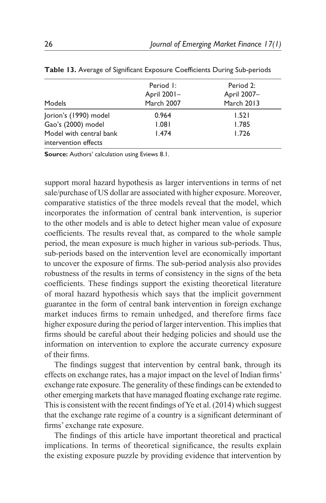| Models                                          | Period I:<br>April 2001-<br>March 2007 | Period 2:<br>April 2007-<br><b>March 2013</b> |
|-------------------------------------------------|----------------------------------------|-----------------------------------------------|
| Jorion's (1990) model                           | 0.964                                  | 1.521                                         |
| Gao's (2000) model                              | 1.081                                  | 1.785                                         |
| Model with central bank<br>intervention effects | 1.474                                  | 1.726                                         |

|  | Table 13. Average of Significant Exposure Coefficients During Sub-periods |  |  |  |  |  |  |
|--|---------------------------------------------------------------------------|--|--|--|--|--|--|
|--|---------------------------------------------------------------------------|--|--|--|--|--|--|

**Source:** Authors' calculation using Eviews 8.1.

support moral hazard hypothesis as larger interventions in terms of net sale/purchase of US dollar are associated with higher exposure. Moreover, comparative statistics of the three models reveal that the model, which incorporates the information of central bank intervention, is superior to the other models and is able to detect higher mean value of exposure coefficients. The results reveal that, as compared to the whole sample period, the mean exposure is much higher in various sub-periods. Thus, sub-periods based on the intervention level are economically important to uncover the exposure of firms. The sub-period analysis also provides robustness of the results in terms of consistency in the signs of the beta coefficients. These findings support the existing theoretical literature of moral hazard hypothesis which says that the implicit government guarantee in the form of central bank intervention in foreign exchange market induces firms to remain unhedged, and therefore firms face higher exposure during the period of larger intervention. This implies that firms should be careful about their hedging policies and should use the information on intervention to explore the accurate currency exposure of their firms.

The findings suggest that intervention by central bank, through its effects on exchange rates, has a major impact on the level of Indian firms' exchange rate exposure. The generality of these findings can be extended to other emerging markets that have managed floating exchange rate regime. This is consistent with the recent findings of Ye et al. (2014) which suggest that the exchange rate regime of a country is a significant determinant of firms' exchange rate exposure.

The findings of this article have important theoretical and practical implications. In terms of theoretical significance, the results explain the existing exposure puzzle by providing evidence that intervention by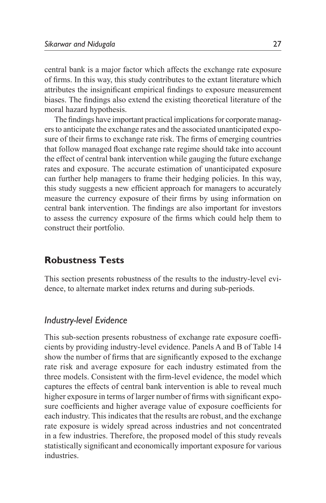central bank is a major factor which affects the exchange rate exposure of firms. In this way, this study contributes to the extant literature which attributes the insignificant empirical findings to exposure measurement biases. The findings also extend the existing theoretical literature of the moral hazard hypothesis.

The findings have important practical implications for corporate managers to anticipate the exchange rates and the associated unanticipated exposure of their firms to exchange rate risk. The firms of emerging countries that follow managed float exchange rate regime should take into account the effect of central bank intervention while gauging the future exchange rates and exposure. The accurate estimation of unanticipated exposure can further help managers to frame their hedging policies. In this way, this study suggests a new efficient approach for managers to accurately measure the currency exposure of their firms by using information on central bank intervention. The findings are also important for investors to assess the currency exposure of the firms which could help them to construct their portfolio.

# **Robustness Tests**

This section presents robustness of the results to the industry-level evidence, to alternate market index returns and during sub-periods.

### *Industry-level Evidence*

This sub-section presents robustness of exchange rate exposure coefficients by providing industry-level evidence. Panels A and B of Table 14 show the number of firms that are significantly exposed to the exchange rate risk and average exposure for each industry estimated from the three models. Consistent with the firm-level evidence, the model which captures the effects of central bank intervention is able to reveal much higher exposure in terms of larger number of firms with significant exposure coefficients and higher average value of exposure coefficients for each industry. This indicates that the results are robust, and the exchange rate exposure is widely spread across industries and not concentrated in a few industries. Therefore, the proposed model of this study reveals statistically significant and economically important exposure for various industries.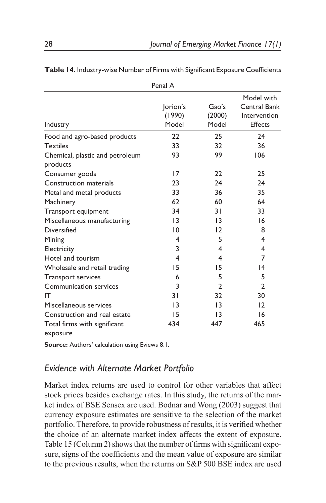|                                             | Penal A                     |                          |                                                |
|---------------------------------------------|-----------------------------|--------------------------|------------------------------------------------|
|                                             |                             |                          | Model with                                     |
| Industry                                    | lorion's<br>(1990)<br>Model | Gao's<br>(2000)<br>Model | Central Bank<br>Intervention<br><b>Effects</b> |
| Food and agro-based products                | 22                          | 25                       | 24                                             |
| <b>Textiles</b>                             | 33                          | 32                       | 36                                             |
| Chemical, plastic and petroleum<br>products | 93                          | 99                       | 106                                            |
| Consumer goods                              | 17                          | 22                       | 25                                             |
| Construction materials                      | 23                          | 24                       | 24                                             |
| Metal and metal products                    | 33                          | 36                       | 35                                             |
| Machinery                                   | 62                          | 60                       | 64                                             |
| Transport equipment                         | 34                          | 3 I                      | 33                                             |
| Miscellaneous manufacturing                 | 13                          | $\overline{13}$          | 16                                             |
| Diversified                                 | 10                          | 12                       | 8                                              |
| Mining                                      | 4                           | 5                        | 4                                              |
| Electricity                                 | 3                           | 4                        | 4                                              |
| Hotel and tourism                           | 4                           | 4                        | 7                                              |
| Wholesale and retail trading                | 15                          | 15                       | $\overline{14}$                                |
| <b>Transport services</b>                   | 6                           | 5                        | 5                                              |
| Communication services                      | 3                           | $\mathfrak{p}$           | $\mathbf{2}$                                   |
| IT                                          | 31                          | 32                       | 30                                             |
| Miscellaneous services                      | 13                          | $\overline{13}$          | 12                                             |
| Construction and real estate                | 15                          | $\overline{13}$          | 16                                             |
| Total firms with significant                | 434                         | 447                      | 465                                            |
| exposure                                    |                             |                          |                                                |

**Table 14.** Industry-wise Number of Firms with Significant Exposure Coefficients

**Source:** Authors' calculation using Eviews 8.1.

# *Evidence with Alternate Market Portfolio*

Market index returns are used to control for other variables that affect stock prices besides exchange rates. In this study, the returns of the market index of BSE Sensex are used. Bodnar and Wong (2003) suggest that currency exposure estimates are sensitive to the selection of the market portfolio. Therefore, to provide robustness of results, it is verified whether the choice of an alternate market index affects the extent of exposure. Table 15 (Column 2) shows that the number of firms with significant exposure, signs of the coefficients and the mean value of exposure are similar to the previous results, when the returns on S&P 500 BSE index are used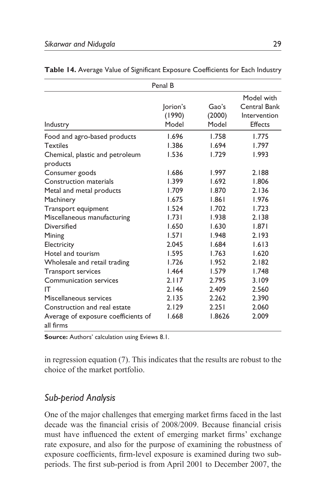|                                                                                                                                                                                                                                                                                                                                                                                        | Penal B                                                                                                                                      |                                                                                                                                              |                                                                                                                                              |
|----------------------------------------------------------------------------------------------------------------------------------------------------------------------------------------------------------------------------------------------------------------------------------------------------------------------------------------------------------------------------------------|----------------------------------------------------------------------------------------------------------------------------------------------|----------------------------------------------------------------------------------------------------------------------------------------------|----------------------------------------------------------------------------------------------------------------------------------------------|
| Industry                                                                                                                                                                                                                                                                                                                                                                               | lorion's<br>(1990)<br>Model                                                                                                                  | Gao's<br>(2000)<br>Model                                                                                                                     | Model with<br>Central Bank<br>Intervention<br><b>Effects</b>                                                                                 |
| Food and agro-based products<br><b>Textiles</b><br>Chemical, plastic and petroleum<br>products<br>Consumer goods<br>Construction materials<br>Metal and metal products<br>Machinery<br>Transport equipment<br>Miscellaneous manufacturing<br>Diversified<br>Mining<br>Electricity<br>Hotel and tourism<br>Wholesale and retail trading<br>Transport services<br>Communication services | 1.696<br>1.386<br>1.536<br>1.686<br>1.399<br>1.709<br>1.675<br>1.524<br>1.731<br>1.650<br>1.571<br>2.045<br>1.595<br>1.726<br>1.464<br>2.117 | 1.758<br>1.694<br>1.729<br>1.997<br>1.692<br>1.870<br>1.861<br>1.702<br>1.938<br>1.630<br>1.948<br>1.684<br>1.763<br>1.952<br>1.579<br>2.795 | 1.775<br>1.797<br>1.993<br>2.188<br>1.806<br>2.136<br>1.976<br>1.723<br>2.138<br>1.871<br>2.193<br>1.613<br>1.620<br>2.182<br>1.748<br>3.109 |
| IT<br>Miscellaneous services<br>Construction and real estate<br>Average of exposure coefficients of<br>all firms                                                                                                                                                                                                                                                                       | 2.146<br>2.135<br>2.129<br>1.668                                                                                                             | 2.409<br>2.262<br>2.251<br>1.8626                                                                                                            | 2.560<br>2.390<br>2.060<br>2.009                                                                                                             |

|  |  |  |  |  | Table 14. Average Value of Significant Exposure Coefficients for Each Industry |  |  |
|--|--|--|--|--|--------------------------------------------------------------------------------|--|--|
|--|--|--|--|--|--------------------------------------------------------------------------------|--|--|

**Source:** Authors' calculation using Eviews 8.1.

in regression equation (7). This indicates that the results are robust to the choice of the market portfolio.

# *Sub-period Analysis*

One of the major challenges that emerging market firms faced in the last decade was the financial crisis of 2008/2009. Because financial crisis must have influenced the extent of emerging market firms' exchange rate exposure, and also for the purpose of examining the robustness of exposure coefficients, firm-level exposure is examined during two subperiods. The first sub-period is from April 2001 to December 2007, the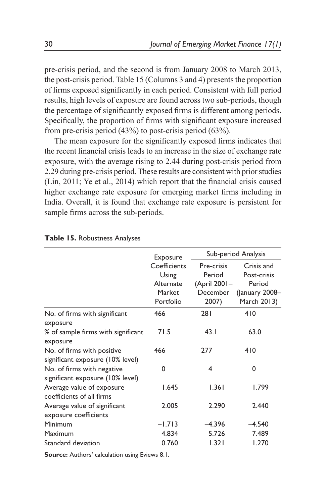pre-crisis period, and the second is from January 2008 to March 2013, the post-crisis period. Table 15 (Columns 3 and 4) presents the proportion of firms exposed significantly in each period. Consistent with full period results, high levels of exposure are found across two sub-periods, though the percentage of significantly exposed firms is different among periods. Specifically, the proportion of firms with significant exposure increased from pre-crisis period (43%) to post-crisis period (63%).

The mean exposure for the significantly exposed firms indicates that the recent financial crisis leads to an increase in the size of exchange rate exposure, with the average rising to 2.44 during post-crisis period from 2.29 during pre-crisis period. These results are consistent with prior studies (Lin, 2011; Ye et al., 2014) which report that the financial crisis caused higher exchange rate exposure for emerging market firms including in India. Overall, it is found that exchange rate exposure is persistent for sample firms across the sub-periods.

|                                                                | Exposure                                                  | Sub-period Analysis                                       |                                                                      |  |
|----------------------------------------------------------------|-----------------------------------------------------------|-----------------------------------------------------------|----------------------------------------------------------------------|--|
|                                                                | Coefficients<br>Using<br>Alternate<br>Market<br>Portfolio | Pre-crisis<br>Period<br>(April 2001-<br>December<br>2007) | Crisis and<br>Post-crisis<br>Period<br>(January 2008-<br>March 2013) |  |
| No. of firms with significant<br>exposure                      | 466                                                       | 281                                                       | 410                                                                  |  |
| % of sample firms with significant<br>exposure                 | 71.5                                                      | 43.1                                                      | 63.0                                                                 |  |
| No. of firms with positive<br>significant exposure (10% level) | 466                                                       | 277                                                       | 410                                                                  |  |
| No. of firms with negative<br>significant exposure (10% level) | 0                                                         | 4                                                         | 0                                                                    |  |
| Average value of exposure<br>coefficients of all firms         | 1.645                                                     | 1.361                                                     | 1.799                                                                |  |
| Average value of significant<br>exposure coefficients          | 2.005                                                     | 2.290                                                     | 2.440                                                                |  |
| Minimum                                                        | $-1.713$                                                  | $-4.396$                                                  | $-4.540$                                                             |  |
| Maximum                                                        | 4.834                                                     | 5.726                                                     | 7.489                                                                |  |
| Standard deviation                                             | 0.760                                                     | 1.321                                                     | 1.270                                                                |  |

#### **Table 15.** Robustness Analyses

**Source:** Authors' calculation using Eviews 8.1.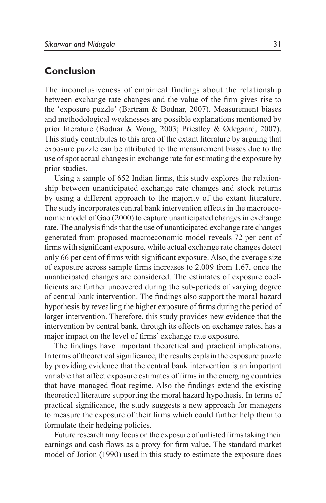## **Conclusion**

The inconclusiveness of empirical findings about the relationship between exchange rate changes and the value of the firm gives rise to the 'exposure puzzle' (Bartram & Bodnar, 2007). Measurement biases and methodological weaknesses are possible explanations mentioned by prior literature (Bodnar & Wong, 2003; Priestley & Ødegaard, 2007). This study contributes to this area of the extant literature by arguing that exposure puzzle can be attributed to the measurement biases due to the use of spot actual changes in exchange rate for estimating the exposure by prior studies.

Using a sample of 652 Indian firms, this study explores the relationship between unanticipated exchange rate changes and stock returns by using a different approach to the majority of the extant literature. The study incorporates central bank intervention effects in the macroeconomic model of Gao (2000) to capture unanticipated changes in exchange rate. The analysis finds that the use of unanticipated exchange rate changes generated from proposed macroeconomic model reveals 72 per cent of firms with significant exposure, while actual exchange rate changes detect only 66 per cent of firms with significant exposure. Also, the average size of exposure across sample firms increases to 2.009 from 1.67, once the unanticipated changes are considered. The estimates of exposure coefficients are further uncovered during the sub-periods of varying degree of central bank intervention. The findings also support the moral hazard hypothesis by revealing the higher exposure of firms during the period of larger intervention. Therefore, this study provides new evidence that the intervention by central bank, through its effects on exchange rates, has a major impact on the level of firms' exchange rate exposure.

The findings have important theoretical and practical implications. In terms of theoretical significance, the results explain the exposure puzzle by providing evidence that the central bank intervention is an important variable that affect exposure estimates of firms in the emerging countries that have managed float regime. Also the findings extend the existing theoretical literature supporting the moral hazard hypothesis. In terms of practical significance, the study suggests a new approach for managers to measure the exposure of their firms which could further help them to formulate their hedging policies.

Future research may focus on the exposure of unlisted firms taking their earnings and cash flows as a proxy for firm value. The standard market model of Jorion (1990) used in this study to estimate the exposure does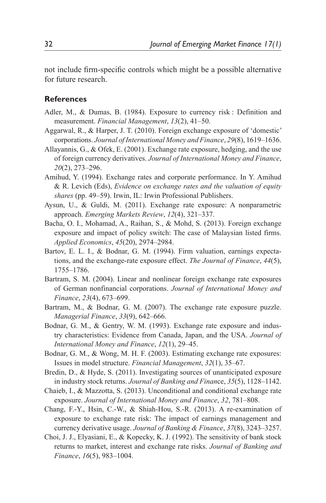not include firm-specific controls which might be a possible alternative for future research.

#### **References**

- Adler, M., & Dumas, B. (1984). Exposure to currency risk : Definition and measurement. *Financial Management*, *13*(2), 41–50.
- Aggarwal, R., & Harper, J. T. (2010). Foreign exchange exposure of 'domestic' corporations. *Journal of International Money and Finance*, *29*(8), 1619–1636.
- Allayannis, G., & Ofek, E. (2001). Exchange rate exposure, hedging, and the use of foreign currency derivatives. *Journal of International Money and Finance*, *20*(2), 273–296.
- Amihud, Y. (1994). Exchange rates and corporate performance. In Y. Amihud & R. Levich (Eds), *Evidence on exchange rates and the valuation of equity shares* (pp. 49–59). Irwin, IL: Irwin Professional Publishers.
- Aysun, U., & Guldi, M. (2011). Exchange rate exposure: A nonparametric approach. *Emerging Markets Review*, *12*(4), 321–337.
- Bacha, O. I., Mohamad, A., Raihan, S., & Mohd, S. (2013). Foreign exchange exposure and impact of policy switch: The case of Malaysian listed firms. *Applied Economics*, *45*(20), 2974–2984.
- Bartov, E. L. I., & Bodnar, G. M. (1994). Firm valuation, earnings expectations, and the exchange-rate exposure effect. *The Journal of Finance*, *44*(5), 1755–1786.
- Bartram, S. M. (2004). Linear and nonlinear foreign exchange rate exposures of German nonfinancial corporations. *Journal of International Money and Finance*, *23*(4), 673–699.
- Bartram, M., & Bodnar, G. M. (2007). The exchange rate exposure puzzle. *Managerial Finance*, *33*(9), 642–666.
- Bodnar, G. M., & Gentry, W. M. (1993). Exchange rate exposure and industry characteristics: Evidence from Canada, Japan, and the USA. *Journal of International Money and Finance*, *12*(1), 29–45.
- Bodnar, G. M., & Wong, M. H. F. (2003). Estimating exchange rate exposures: Issues in model structure. *Financial Management*, *32*(1), 35–67.
- Bredin, D., & Hyde, S. (2011). Investigating sources of unanticipated exposure in industry stock returns. *Journal of Banking and Finan*ce, *35*(5), 1128–1142.
- Chaieb, I., & Mazzotta, S. (2013). Unconditional and conditional exchange rate exposure. *Journal of International Money and Finance*, *32*, 781–808.
- Chang, F.-Y., Hsin, C.-W., & Shiah-Hou, S.-R. (2013). A re-examination of exposure to exchange rate risk: The impact of earnings management and currency derivative usage. *Journal of Banking & Finance*, *37*(8), 3243–3257.
- Choi, J. J., Elyasiani, E., & Kopecky, K. J. (1992). The sensitivity of bank stock returns to market, interest and exchange rate risks. *Journal of Banking and Finance*, *16*(5), 983–1004.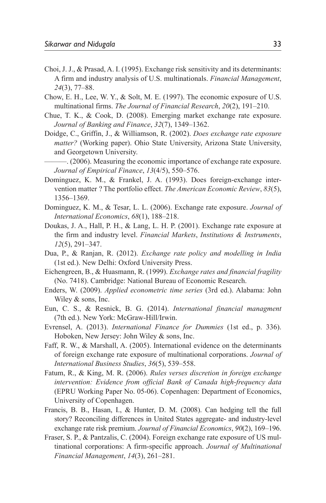- Choi, J. J., & Prasad, A. I. (1995). Exchange risk sensitivity and its determinants: A firm and industry analysis of U.S. multinationals. *Financial Management*, *24*(3), 77–88.
- Chow, E. H., Lee, W. Y., & Solt, M. E. (1997). The economic exposure of U.S. multinational firms. *The Journal of Financial Research*, *20*(2), 191–210.
- Chue, T. K., & Cook, D. (2008). Emerging market exchange rate exposure. *Journal of Banking and Finance*, *32*(7), 1349–1362.
- Doidge, C., Griffin, J., & Williamson, R. (2002). *Does exchange rate exposure matter?* (Working paper). Ohio State University, Arizona State University, and Georgetown University.
- ———. (2006). Measuring the economic importance of exchange rate exposure. *Journal of Empirical Finance*, *13*(4/5), 550–576.
- Dominguez, K. M., & Frankel, J. A. (1993). Does foreign-exchange intervention matter ? The portfolio effect. *The American Economic Review*, *83*(5), 1356–1369.
- Dominguez, K. M., & Tesar, L. L. (2006). Exchange rate exposure. *Journal of International Economics*, *68*(1), 188–218.
- Doukas, J. A., Hall, P. H., & Lang, L. H. P. (2001). Exchange rate exposure at the firm and industry level. *Financial Markets*, *Institutions & Instruments*, *12*(5), 291–347.
- Dua, P., & Ranjan, R. (2012). *Exchange rate policy and modelling in India* (1st ed.). New Delhi: Oxford University Press.
- Eichengreen, B., & Huasmann, R. (1999). *Exchange rates and financial fragility* (No. 7418). Cambridge: National Bureau of Economic Research.
- Enders, W. (2009). *Applied econometric time series* (3rd ed.). Alabama: John Wiley & sons, Inc.
- Eun, C. S., & Resnick, B. G. (2014). *International financial managment* (7th ed.). New York: McGraw-Hill/Irwin.
- Evrensel, A. (2013). *International Finance for Dummies* (1st ed., p. 336). Hoboken, New Jersey: John Wiley & sons, Inc.
- Faff, R. W., & Marshall, A. (2005). International evidence on the determinants of foreign exchange rate exposure of multinational corporations. *Journal of International Business Studies*, *36*(5), 539–558.
- Fatum, R., & King, M. R. (2006). *Rules verses discretion in foreign exchange intervention: Evidence from official Bank of Canada high-frequency data*  (EPRU Working Paper No. 05-06). Copenhagen: Department of Economics, University of Copenhagen.
- Francis, B. B., Hasan, I., & Hunter, D. M. (2008). Can hedging tell the full story? Reconciling differences in United States aggregate- and industry-level exchange rate risk premium. *Journal of Financial Economics*, *90*(2), 169–196.
- Fraser, S. P., & Pantzalis, C. (2004). Foreign exchange rate exposure of US multinational corporations: A firm-specific approach. *Journal of Multinational Financial Management*, *14*(3), 261–281.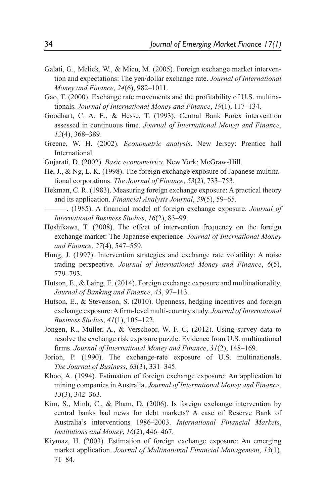- Galati, G., Melick, W., & Micu, M. (2005). Foreign exchange market intervention and expectations: The yen/dollar exchange rate. *Journal of International Money and Finance*, *24*(6), 982–1011.
- Gao, T. (2000). Exchange rate movements and the profitability of U.S. multinationals. *Journal of International Money and Finance*, *19*(1), 117–134.
- Goodhart, C. A. E., & Hesse, T. (1993). Central Bank Forex intervention assessed in continuous time. *Journal of International Money and Finance*, *12*(4), 368–389.
- Greene, W. H. (2002). *Econometric analysis*. New Jersey: Prentice hall International.
- Gujarati, D. (2002). *Basic econometrics*. New York: McGraw-Hill.
- He, J., & Ng, L. K. (1998). The foreign exchange exposure of Japanese multinational corporations. *The Journal of Finance*, *53*(2), 733–753.
- Hekman, C. R. (1983). Measuring foreign exchange exposure: A practical theory and its application. *Financial Analysts Journal*, *39*(5), 59–65.
- ———. (1985). A financial model of foreign exchange exposure. *Journal of International Business Studies*, *16*(2), 83–99.
- Hoshikawa, T. (2008). The effect of intervention frequency on the foreign exchange market: The Japanese experience. *Journal of International Money and Finance*, *27*(4), 547–559.
- Hung, J. (1997). Intervention strategies and exchange rate volatility: A noise trading perspective. *Journal of International Money and Finance*, *6*(5), 779–793.
- Hutson, E., & Laing, E. (2014). Foreign exchange exposure and multinationality. *Journal of Banking and Finance*, *43*, 97–113.
- Hutson, E., & Stevenson, S. (2010). Openness, hedging incentives and foreign exchange exposure: A firm-level multi-country study. *Journal of International Business Studies*, *41*(1), 105–122.
- Jongen, R., Muller, A., & Verschoor, W. F. C. (2012). Using survey data to resolve the exchange risk exposure puzzle: Evidence from U.S. multinational firms. *Journal of International Money and Finance*, *31*(2), 148–169.
- Jorion, P. (1990). The exchange-rate exposure of U.S. multinationals. *The Journal of Business*, *63*(3), 331–345.
- Khoo, A. (1994). Estimation of foreign exchange exposure: An application to mining companies in Australia. *Journal of International Money and Finance*, *13*(3), 342–363.
- Kim, S., Minh, C., & Pham, D. (2006). Is foreign exchange intervention by central banks bad news for debt markets? A case of Reserve Bank of Australia's interventions 1986–2003. *International Financial Markets*, *Institutions and Money*, *16*(2), 446–467.
- Kiymaz, H. (2003). Estimation of foreign exchange exposure: An emerging market application. *Journal of Multinational Financial Management*, *13*(1), 71–84.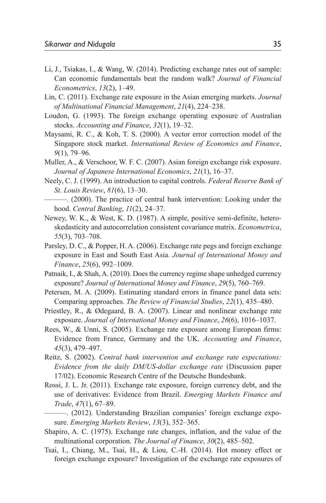- Li, J., Tsiakas, I., & Wang, W. (2014). Predicting exchange rates out of sample: Can economic fundamentals beat the random walk? *Journal of Financial Econometrics*, *13*(2), 1–49.
- Lin, C. (2011). Exchange rate exposure in the Asian emerging markets. *Journal of Multinational Financial Management*, *21*(4), 224–238.
- Loudon, G. (1993). The foreign exchange operating exposure of Australian stocks. *Accounting and Finance*, *32*(1), 19–32.
- Maysami, R. C., & Koh, T. S. (2000). A vector error correction model of the Singapore stock market. *International Review of Economics and Finance*, *9*(1), 79–96.
- Muller, A., & Verschoor, W. F. C. (2007). Asian foreign exchange risk exposure. *Journal of Japanese International Economics*, *21*(1), 16–37.
- Neely, C. J. (1999). An introduction to capital controls. *Federal Reserve Bank of St*. *Louis Review*, *81*(6), 13–30.
- ———. (2000). The practice of central bank intervention: Looking under the hood. *Central Banking*, *11*(2), 24–37.
- Newey, W. K., & West, K. D. (1987). A simple, positive semi-definite, heteroskedasticity and autocorrelation consistent covariance matrix. *Econometrica*, *55*(3), 703–708.
- Parsley, D. C., & Popper, H. A. (2006). Exchange rate pegs and foreign exchange exposure in East and South East Asia. *Journal of International Money and Finance*, *25*(6), 992–1009.
- Patnaik, I., & Shah, A. (2010). Does the currency regime shape unhedged currency exposure? *Journal of International Money and Finance*, *29*(5), 760–769.
- Petersen, M. A. (2009). Estimating standard errors in finance panel data sets: Comparing approaches. *The Review of Financial Studies*, *22*(1), 435–480.
- Priestley, R., & Ødegaard, B. A. (2007). Linear and nonlinear exchange rate exposure. *Journal of International Money and Finance*, *26*(6), 1016–1037.
- Rees, W., & Unni, S. (2005). Exchange rate exposure among European firms: Evidence from France, Germany and the UK. *Accounting and Finance*, *45*(3), 479–497.
- Reitz, S. (2002). *Central bank intervention and exchange rate expectations: Evidence from the daily DM/US-dollar exchange rate* (Discussion paper 17/02). Economic Research Centre of the Deutsche Bundesbank.
- Rossi, J. L. Jr. (2011). Exchange rate exposure, foreign currency debt, and the use of derivatives: Evidence from Brazil. *Emerging Markets Finance and Trade*, *47*(1), 67–89.
- ———. (2012). Understanding Brazilian companies' foreign exchange exposure. *Emerging Markets Review*, *13*(3), 352–365.
- Shapiro, A. C. (1975). Exchange rate changes, inflation, and the value of the multinational corporation. *The Journal of Finance*, *30*(2), 485–502.
- Tsai, I., Chiang, M., Tsai, H., & Liou, C.-H. (2014). Hot money effect or foreign exchange exposure? Investigation of the exchange rate exposures of